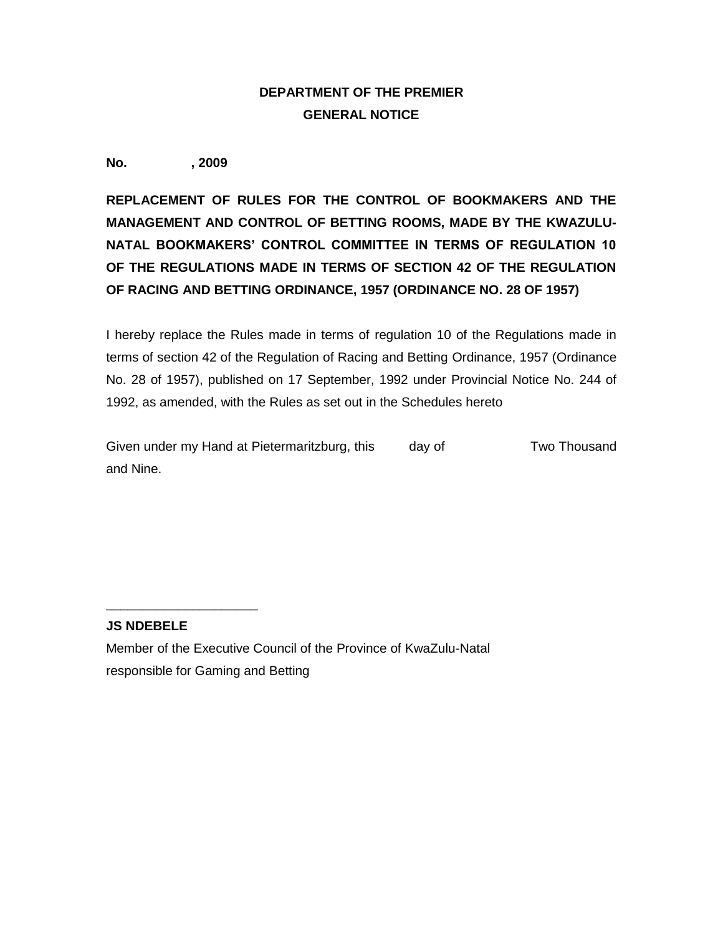## **DEPARTMENT OF THE PREMIER GENERAL NOTICE**

**No. , 2009**

**REPLACEMENT OF RULES FOR THE CONTROL OF BOOKMAKERS AND THE MANAGEMENT AND CONTROL OF BETTING ROOMS, MADE BY THE KWAZULU-NATAL BOOKMAKERS' CONTROL COMMITTEE IN TERMS OF REGULATION 10 OF THE REGULATIONS MADE IN TERMS OF SECTION 42 OF THE REGULATION OF RACING AND BETTING ORDINANCE, 1957 (ORDINANCE NO. 28 OF 1957)**

I hereby replace the Rules made in terms of regulation 10 of the Regulations made in terms of section 42 of the Regulation of Racing and Betting Ordinance, 1957 (Ordinance No. 28 of 1957), published on 17 September, 1992 under Provincial Notice No. 244 of 1992, as amended, with the Rules as set out in the Schedules hereto

Given under my Hand at Pietermaritzburg, this day of Two Thousand and Nine.

## **JS NDEBELE**

\_\_\_\_\_\_\_\_\_\_\_\_\_\_\_\_\_\_\_\_\_

Member of the Executive Council of the Province of KwaZulu-Natal responsible for Gaming and Betting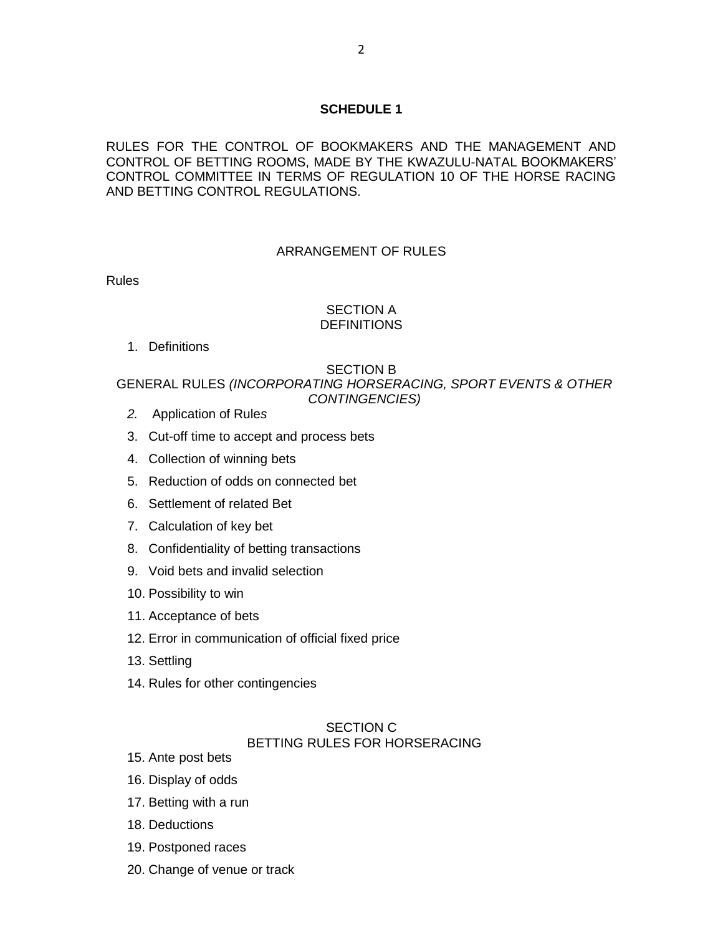### **SCHEDULE 1**

RULES FOR THE CONTROL OF BOOKMAKERS AND THE MANAGEMENT AND CONTROL OF BETTING ROOMS, MADE BY THE KWAZULU-NATAL BOOKMAKERS' CONTROL COMMITTEE IN TERMS OF REGULATION 10 OF THE HORSE RACING AND BETTING CONTROL REGULATIONS.

#### ARRANGEMENT OF RULES

Rules

### SECTION A **DEFINITIONS**

1. Definitions

## SECTION B

## GENERAL RULES *(INCORPORATING HORSERACING, SPORT EVENTS & OTHER CONTINGENCIES)*

- *2.* Application of Rule*s*
- 3. Cut-off time to accept and process bets
- 4. Collection of winning bets
- 5. Reduction of odds on connected bet
- 6. Settlement of related Bet
- 7. Calculation of key bet
- 8. Confidentiality of betting transactions
- 9. Void bets and invalid selection
- 10. Possibility to win
- 11. Acceptance of bets
- 12. Error in communication of official fixed price
- 13. Settling
- 14. Rules for other contingencies

#### SECTION C BETTING RULES FOR HORSERACING

- 15. Ante post bets
- 16. Display of odds
- 17. Betting with a run
- 18. Deductions
- 19. Postponed races
- 20. Change of venue or track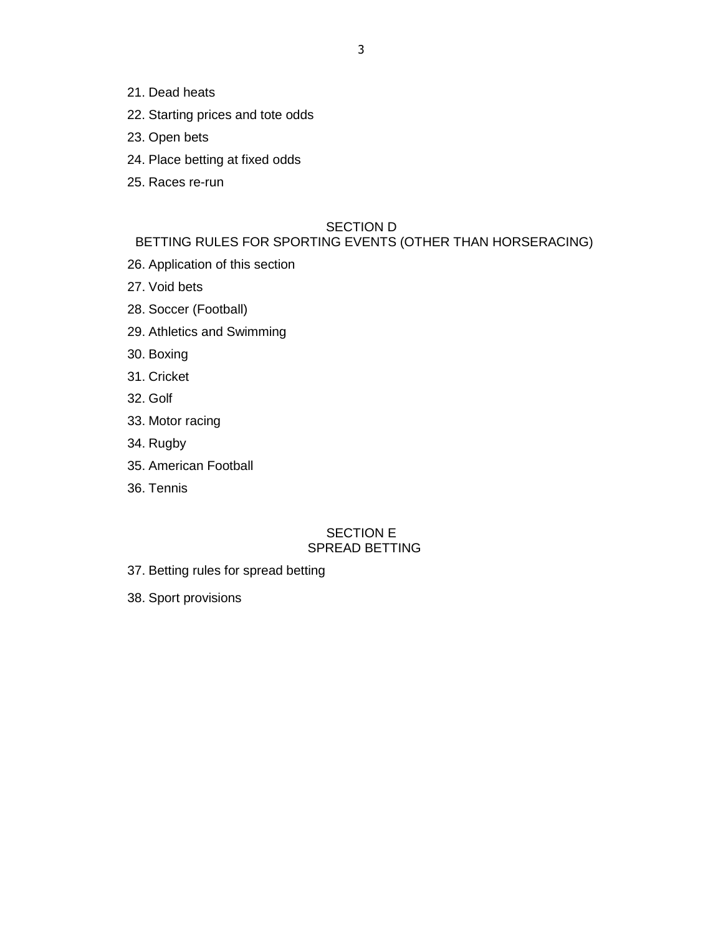- 21. Dead heats
- 22. Starting prices and tote odds
- 23. Open bets
- 24. Place betting at fixed odds
- 25. Races re-run

#### SECTION D

## BETTING RULES FOR SPORTING EVENTS (OTHER THAN HORSERACING)

- 26. Application of this section
- 27. Void bets
- 28. Soccer (Football)
- 29. Athletics and Swimming
- 30. Boxing
- 31. Cricket
- 32. Golf
- 33. Motor racing
- 34. Rugby
- 35. American Football
- 36. Tennis

### SECTION E SPREAD BETTING

- 37. Betting rules for spread betting
- 38. Sport provisions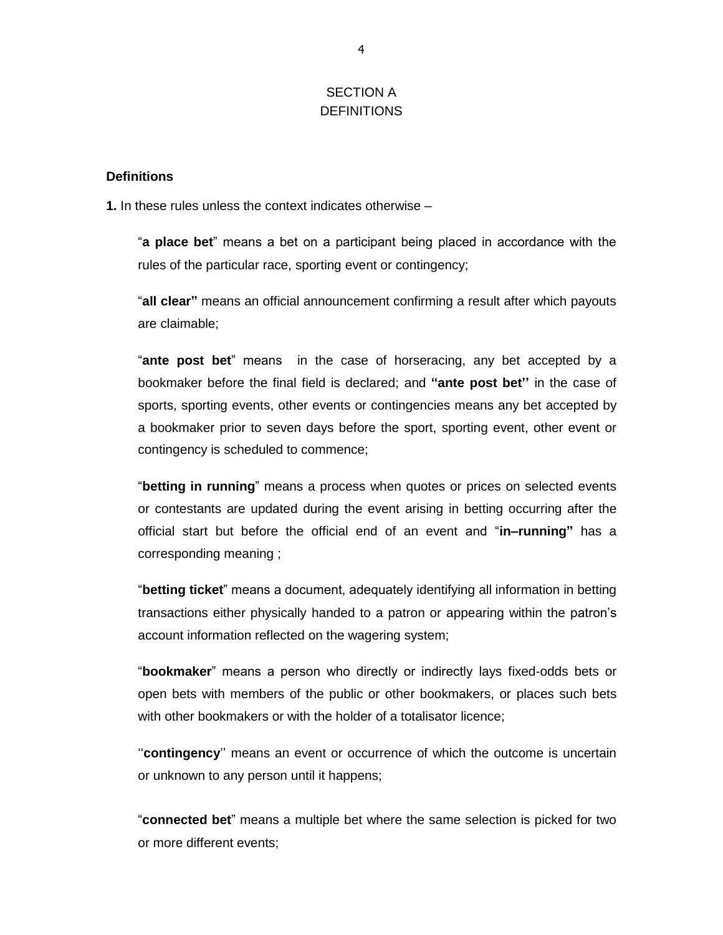## SECTION A DEFINITIONS

### **Definitions**

**1.** In these rules unless the context indicates otherwise –

"**a place bet**" means a bet on a participant being placed in accordance with the rules of the particular race, sporting event or contingency;

"**all clear"** means an official announcement confirming a result after which payouts are claimable;

"**ante post bet**" means in the case of horseracing, any bet accepted by a bookmaker before the final field is declared; and **"ante post bet''** in the case of sports, sporting events, other events or contingencies means any bet accepted by a bookmaker prior to seven days before the sport, sporting event, other event or contingency is scheduled to commence;

"**betting in running**" means a process when quotes or prices on selected events or contestants are updated during the event arising in betting occurring after the official start but before the official end of an event and "**in–running"** has a corresponding meaning ;

"**betting ticket**" means a document, adequately identifying all information in betting transactions either physically handed to a patron or appearing within the patron's account information reflected on the wagering system;

"**bookmaker**" means a person who directly or indirectly lays fixed-odds bets or open bets with members of the public or other bookmakers, or places such bets with other bookmakers or with the holder of a totalisator licence;

"contingency" means an event or occurrence of which the outcome is uncertain or unknown to any person until it happens;

"**connected bet**" means a multiple bet where the same selection is picked for two or more different events;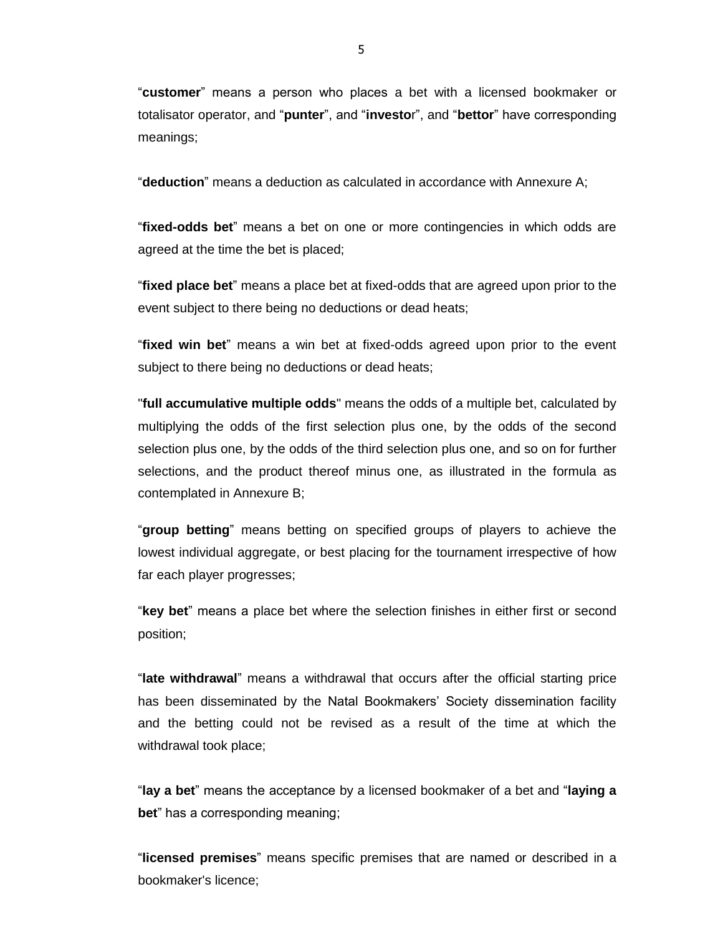"**customer**" means a person who places a bet with a licensed bookmaker or totalisator operator, and "**punter**", and "**investo**r", and "**bettor**" have corresponding meanings;

"**deduction**" means a deduction as calculated in accordance with Annexure A;

"**fixed-odds bet**" means a bet on one or more contingencies in which odds are agreed at the time the bet is placed;

"**fixed place bet**" means a place bet at fixed-odds that are agreed upon prior to the event subject to there being no deductions or dead heats;

"**fixed win bet**" means a win bet at fixed-odds agreed upon prior to the event subject to there being no deductions or dead heats;

"**full accumulative multiple odds**" means the odds of a multiple bet, calculated by multiplying the odds of the first selection plus one, by the odds of the second selection plus one, by the odds of the third selection plus one, and so on for further selections, and the product thereof minus one, as illustrated in the formula as contemplated in Annexure B;

"**group betting**" means betting on specified groups of players to achieve the lowest individual aggregate, or best placing for the tournament irrespective of how far each player progresses;

"**key bet**" means a place bet where the selection finishes in either first or second position;

"**late withdrawal**" means a withdrawal that occurs after the official starting price has been disseminated by the Natal Bookmakers' Society dissemination facility and the betting could not be revised as a result of the time at which the withdrawal took place;

"**lay a bet**" means the acceptance by a licensed bookmaker of a bet and "**laying a bet**" has a corresponding meaning;

"**licensed premises**" means specific premises that are named or described in a bookmaker's licence;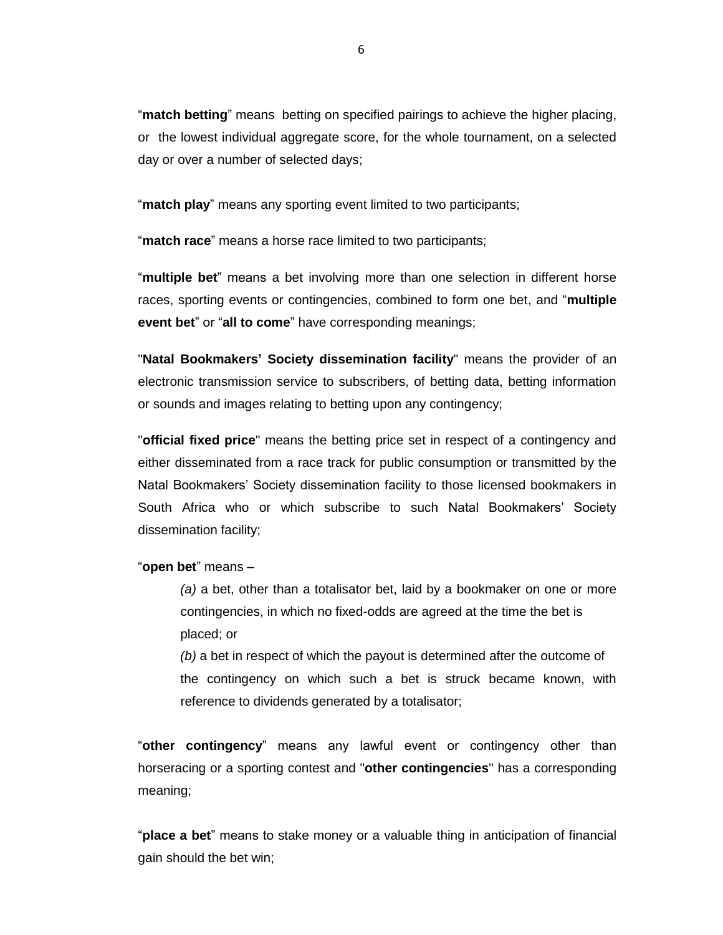"**match betting**" means betting on specified pairings to achieve the higher placing, or the lowest individual aggregate score, for the whole tournament, on a selected day or over a number of selected days;

"**match play**" means any sporting event limited to two participants;

"**match race**" means a horse race limited to two participants;

"**multiple bet**" means a bet involving more than one selection in different horse races, sporting events or contingencies, combined to form one bet, and "**multiple event bet**" or "**all to come**" have corresponding meanings;

"**Natal Bookmakers' Society dissemination facility**" means the provider of an electronic transmission service to subscribers, of betting data, betting information or sounds and images relating to betting upon any contingency;

"**official fixed price**" means the betting price set in respect of a contingency and either disseminated from a race track for public consumption or transmitted by the Natal Bookmakers' Society dissemination facility to those licensed bookmakers in South Africa who or which subscribe to such Natal Bookmakers' Society dissemination facility;

#### "**open bet**" means –

*(a)* a bet, other than a totalisator bet, laid by a bookmaker on one or more contingencies, in which no fixed-odds are agreed at the time the bet is placed; or

*(b)* a bet in respect of which the payout is determined after the outcome of the contingency on which such a bet is struck became known, with reference to dividends generated by a totalisator;

"**other contingency**" means any lawful event or contingency other than horseracing or a sporting contest and "**other contingencies**" has a corresponding meaning;

"**place a bet**" means to stake money or a valuable thing in anticipation of financial gain should the bet win;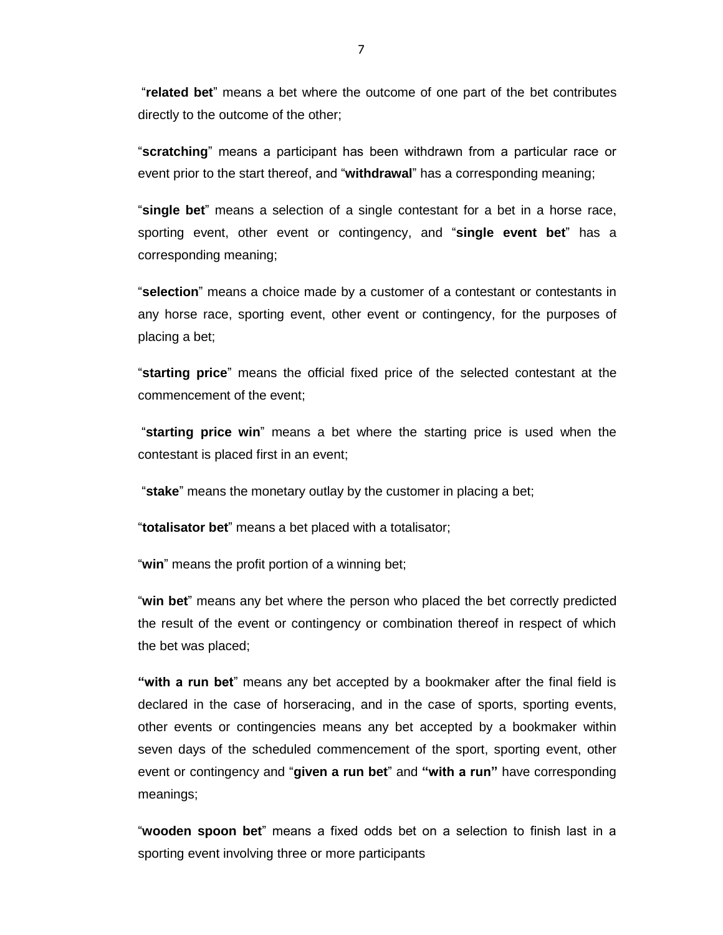"**related bet**" means a bet where the outcome of one part of the bet contributes directly to the outcome of the other;

"**scratching**" means a participant has been withdrawn from a particular race or event prior to the start thereof, and "**withdrawal**" has a corresponding meaning;

"**single bet**" means a selection of a single contestant for a bet in a horse race, sporting event, other event or contingency, and "**single event bet**" has a corresponding meaning;

"**selection**" means a choice made by a customer of a contestant or contestants in any horse race, sporting event, other event or contingency, for the purposes of placing a bet;

"**starting price**" means the official fixed price of the selected contestant at the commencement of the event;

"**starting price win**" means a bet where the starting price is used when the contestant is placed first in an event;

"**stake**" means the monetary outlay by the customer in placing a bet;

"**totalisator bet**" means a bet placed with a totalisator;

"**win**" means the profit portion of a winning bet;

"**win bet**" means any bet where the person who placed the bet correctly predicted the result of the event or contingency or combination thereof in respect of which the bet was placed;

**"with a run bet**" means any bet accepted by a bookmaker after the final field is declared in the case of horseracing, and in the case of sports, sporting events, other events or contingencies means any bet accepted by a bookmaker within seven days of the scheduled commencement of the sport, sporting event, other event or contingency and "**given a run bet**" and **"with a run"** have corresponding meanings;

"**wooden spoon bet**" means a fixed odds bet on a selection to finish last in a sporting event involving three or more participants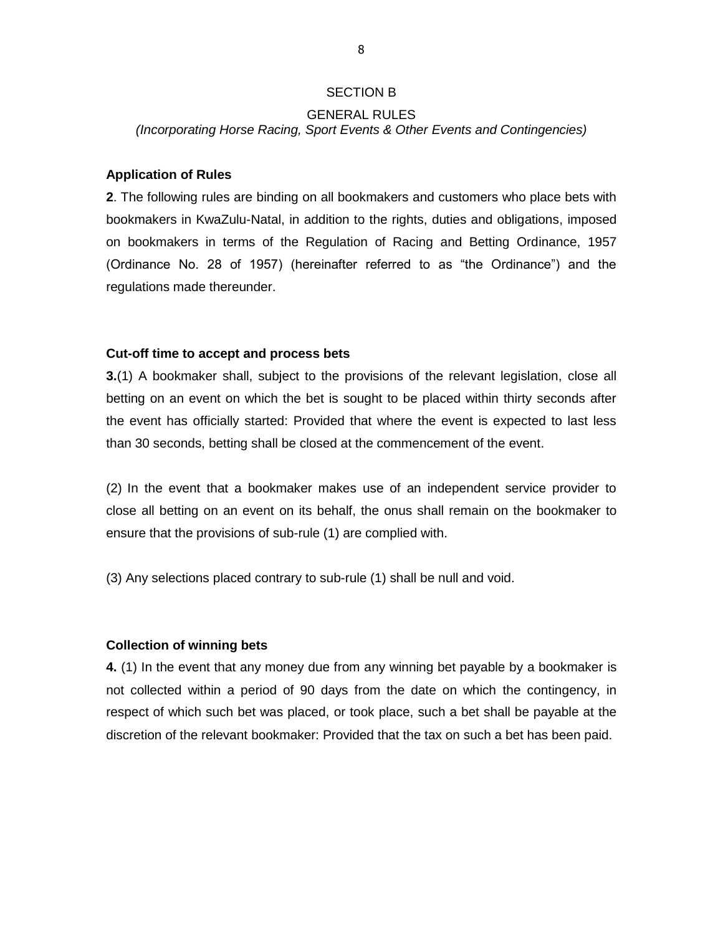#### SECTION B

### GENERAL RULES

*(Incorporating Horse Racing, Sport Events & Other Events and Contingencies)*

#### **Application of Rules**

**2**. The following rules are binding on all bookmakers and customers who place bets with bookmakers in KwaZulu-Natal, in addition to the rights, duties and obligations, imposed on bookmakers in terms of the Regulation of Racing and Betting Ordinance, 1957 (Ordinance No. 28 of 1957) (hereinafter referred to as "the Ordinance") and the regulations made thereunder.

#### **Cut-off time to accept and process bets**

**3.**(1) A bookmaker shall, subject to the provisions of the relevant legislation, close all betting on an event on which the bet is sought to be placed within thirty seconds after the event has officially started: Provided that where the event is expected to last less than 30 seconds, betting shall be closed at the commencement of the event.

(2) In the event that a bookmaker makes use of an independent service provider to close all betting on an event on its behalf, the onus shall remain on the bookmaker to ensure that the provisions of sub-rule (1) are complied with.

(3) Any selections placed contrary to sub-rule (1) shall be null and void.

#### **Collection of winning bets**

**4.** (1) In the event that any money due from any winning bet payable by a bookmaker is not collected within a period of 90 days from the date on which the contingency, in respect of which such bet was placed, or took place, such a bet shall be payable at the discretion of the relevant bookmaker: Provided that the tax on such a bet has been paid.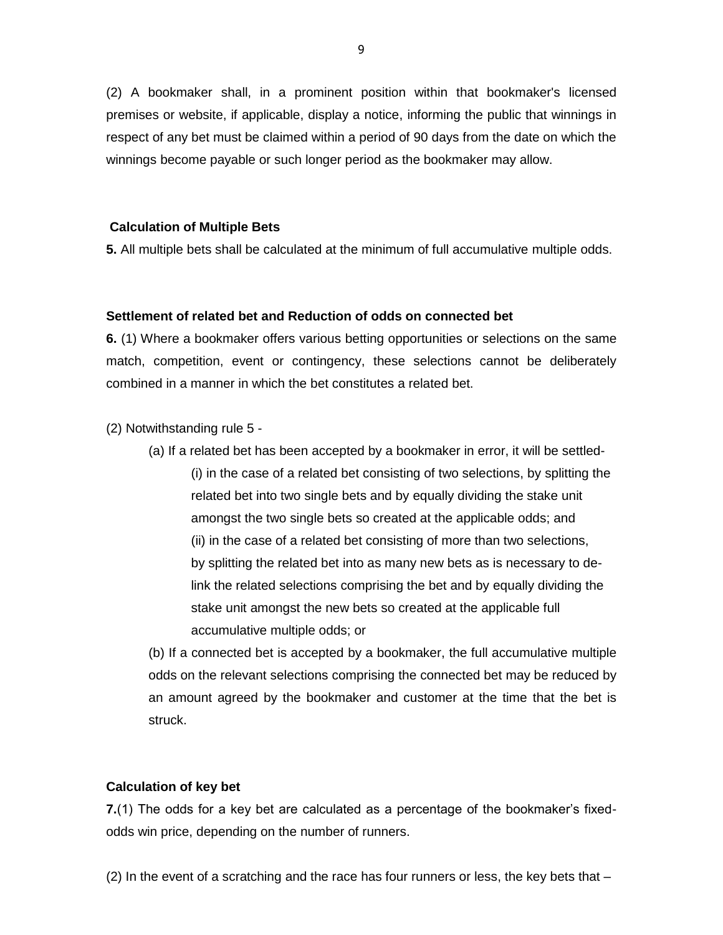(2) A bookmaker shall, in a prominent position within that bookmaker's licensed premises or website, if applicable, display a notice, informing the public that winnings in respect of any bet must be claimed within a period of 90 days from the date on which the winnings become payable or such longer period as the bookmaker may allow.

#### **Calculation of Multiple Bets**

**5.** All multiple bets shall be calculated at the minimum of full accumulative multiple odds.

#### **Settlement of related bet and Reduction of odds on connected bet**

**6.** (1) Where a bookmaker offers various betting opportunities or selections on the same match, competition, event or contingency, these selections cannot be deliberately combined in a manner in which the bet constitutes a related bet.

(2) Notwithstanding rule 5 -

(a) If a related bet has been accepted by a bookmaker in error, it will be settled- (i) in the case of a related bet consisting of two selections, by splitting the related bet into two single bets and by equally dividing the stake unit amongst the two single bets so created at the applicable odds; and (ii) in the case of a related bet consisting of more than two selections, by splitting the related bet into as many new bets as is necessary to delink the related selections comprising the bet and by equally dividing the stake unit amongst the new bets so created at the applicable full accumulative multiple odds; or

(b) If a connected bet is accepted by a bookmaker, the full accumulative multiple odds on the relevant selections comprising the connected bet may be reduced by an amount agreed by the bookmaker and customer at the time that the bet is struck.

#### **Calculation of key bet**

**7.**(1) The odds for a key bet are calculated as a percentage of the bookmaker's fixedodds win price, depending on the number of runners.

(2) In the event of a scratching and the race has four runners or less, the key bets that –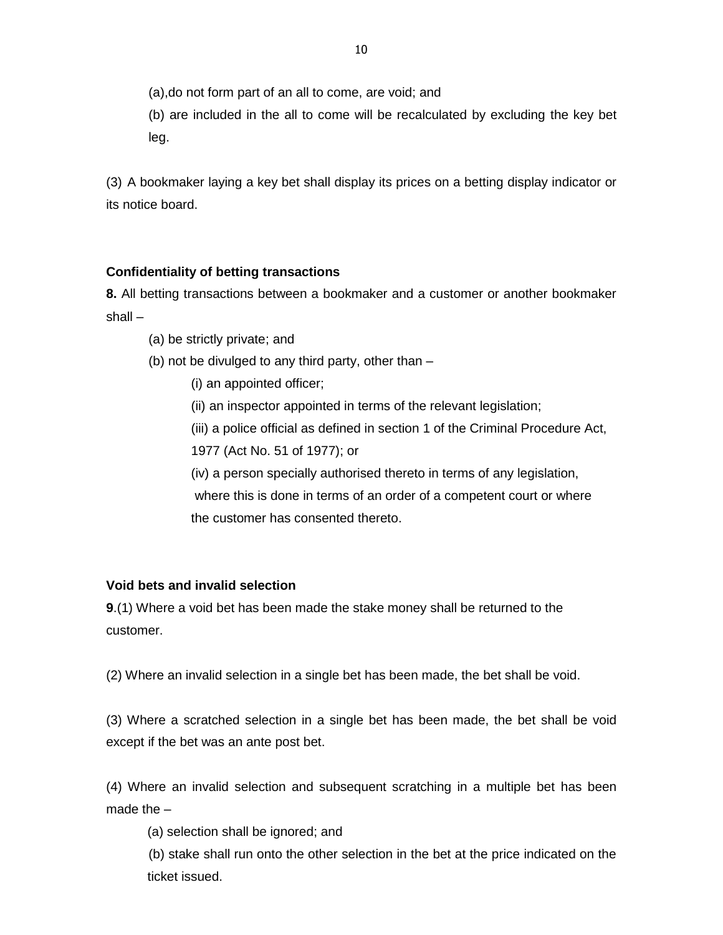(a),do not form part of an all to come, are void; and

(b) are included in the all to come will be recalculated by excluding the key bet leg.

(3) A bookmaker laying a key bet shall display its prices on a betting display indicator or its notice board.

## **Confidentiality of betting transactions**

**8.** All betting transactions between a bookmaker and a customer or another bookmaker shall –

- (a) be strictly private; and
- (b) not be divulged to any third party, other than
	- (i) an appointed officer;

(ii) an inspector appointed in terms of the relevant legislation;

- (iii) a police official as defined in section 1 of the Criminal Procedure Act,
- 1977 (Act No. 51 of 1977); or
- (iv) a person specially authorised thereto in terms of any legislation, where this is done in terms of an order of a competent court or where

the customer has consented thereto.

## **Void bets and invalid selection**

**9**.(1) Where a void bet has been made the stake money shall be returned to the customer.

(2) Where an invalid selection in a single bet has been made, the bet shall be void.

(3) Where a scratched selection in a single bet has been made, the bet shall be void except if the bet was an ante post bet.

(4) Where an invalid selection and subsequent scratching in a multiple bet has been made the –

(a) selection shall be ignored; and

(b) stake shall run onto the other selection in the bet at the price indicated on the ticket issued.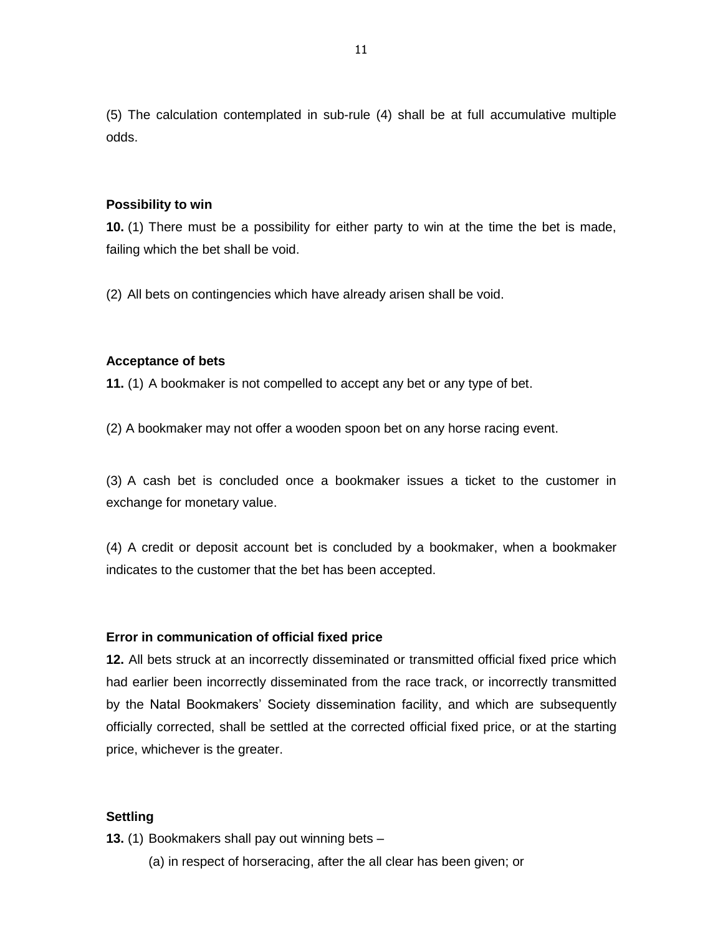(5) The calculation contemplated in sub-rule (4) shall be at full accumulative multiple odds.

#### **Possibility to win**

**10.** (1) There must be a possibility for either party to win at the time the bet is made, failing which the bet shall be void.

(2) All bets on contingencies which have already arisen shall be void.

#### **Acceptance of bets**

**11.** (1) A bookmaker is not compelled to accept any bet or any type of bet.

(2) A bookmaker may not offer a wooden spoon bet on any horse racing event.

(3) A cash bet is concluded once a bookmaker issues a ticket to the customer in exchange for monetary value.

(4) A credit or deposit account bet is concluded by a bookmaker, when a bookmaker indicates to the customer that the bet has been accepted.

#### **Error in communication of official fixed price**

**12.** All bets struck at an incorrectly disseminated or transmitted official fixed price which had earlier been incorrectly disseminated from the race track, or incorrectly transmitted by the Natal Bookmakers' Society dissemination facility, and which are subsequently officially corrected, shall be settled at the corrected official fixed price, or at the starting price, whichever is the greater.

#### **Settling**

**13.** (1) Bookmakers shall pay out winning bets –

(a) in respect of horseracing, after the all clear has been given; or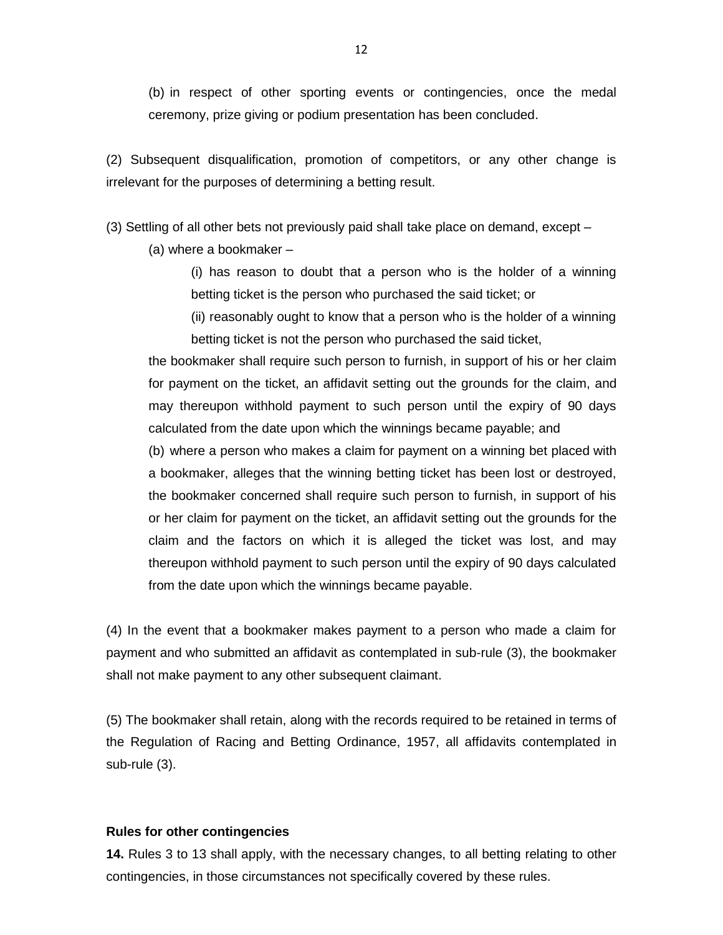(b) in respect of other sporting events or contingencies, once the medal ceremony, prize giving or podium presentation has been concluded.

(2) Subsequent disqualification, promotion of competitors, or any other change is irrelevant for the purposes of determining a betting result.

(3) Settling of all other bets not previously paid shall take place on demand, except –

(a) where a bookmaker –

(i) has reason to doubt that a person who is the holder of a winning betting ticket is the person who purchased the said ticket; or

(ii) reasonably ought to know that a person who is the holder of a winning betting ticket is not the person who purchased the said ticket,

the bookmaker shall require such person to furnish, in support of his or her claim for payment on the ticket, an affidavit setting out the grounds for the claim, and may thereupon withhold payment to such person until the expiry of 90 days calculated from the date upon which the winnings became payable; and

(b) where a person who makes a claim for payment on a winning bet placed with a bookmaker, alleges that the winning betting ticket has been lost or destroyed, the bookmaker concerned shall require such person to furnish, in support of his or her claim for payment on the ticket, an affidavit setting out the grounds for the claim and the factors on which it is alleged the ticket was lost, and may thereupon withhold payment to such person until the expiry of 90 days calculated from the date upon which the winnings became payable.

(4) In the event that a bookmaker makes payment to a person who made a claim for payment and who submitted an affidavit as contemplated in sub-rule (3), the bookmaker shall not make payment to any other subsequent claimant.

(5) The bookmaker shall retain, along with the records required to be retained in terms of the Regulation of Racing and Betting Ordinance, 1957, all affidavits contemplated in sub-rule (3).

#### **Rules for other contingencies**

**14.** Rules 3 to 13 shall apply, with the necessary changes, to all betting relating to other contingencies, in those circumstances not specifically covered by these rules.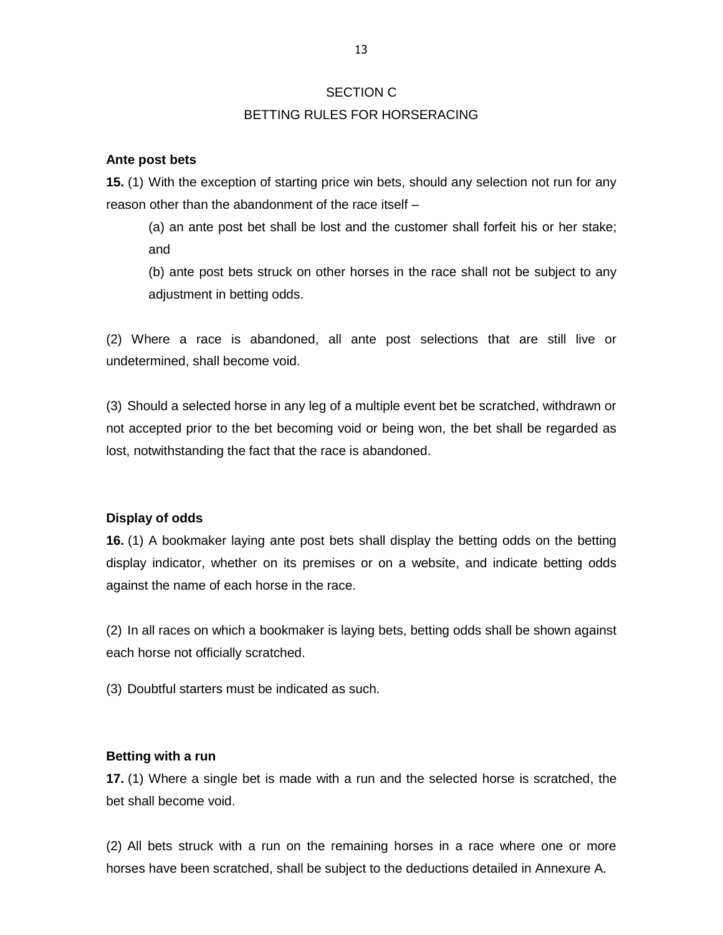## BETTING RULES FOR HORSERACING

## **Ante post bets**

**15.** (1) With the exception of starting price win bets, should any selection not run for any reason other than the abandonment of the race itself –

(a) an ante post bet shall be lost and the customer shall forfeit his or her stake; and

(b) ante post bets struck on other horses in the race shall not be subject to any adjustment in betting odds.

(2) Where a race is abandoned, all ante post selections that are still live or undetermined, shall become void.

(3) Should a selected horse in any leg of a multiple event bet be scratched, withdrawn or not accepted prior to the bet becoming void or being won, the bet shall be regarded as lost, notwithstanding the fact that the race is abandoned.

## **Display of odds**

**16.** (1) A bookmaker laying ante post bets shall display the betting odds on the betting display indicator, whether on its premises or on a website, and indicate betting odds against the name of each horse in the race.

(2) In all races on which a bookmaker is laying bets, betting odds shall be shown against each horse not officially scratched.

(3) Doubtful starters must be indicated as such.

## **Betting with a run**

**17.** (1) Where a single bet is made with a run and the selected horse is scratched, the bet shall become void.

(2) All bets struck with a run on the remaining horses in a race where one or more horses have been scratched, shall be subject to the deductions detailed in Annexure A.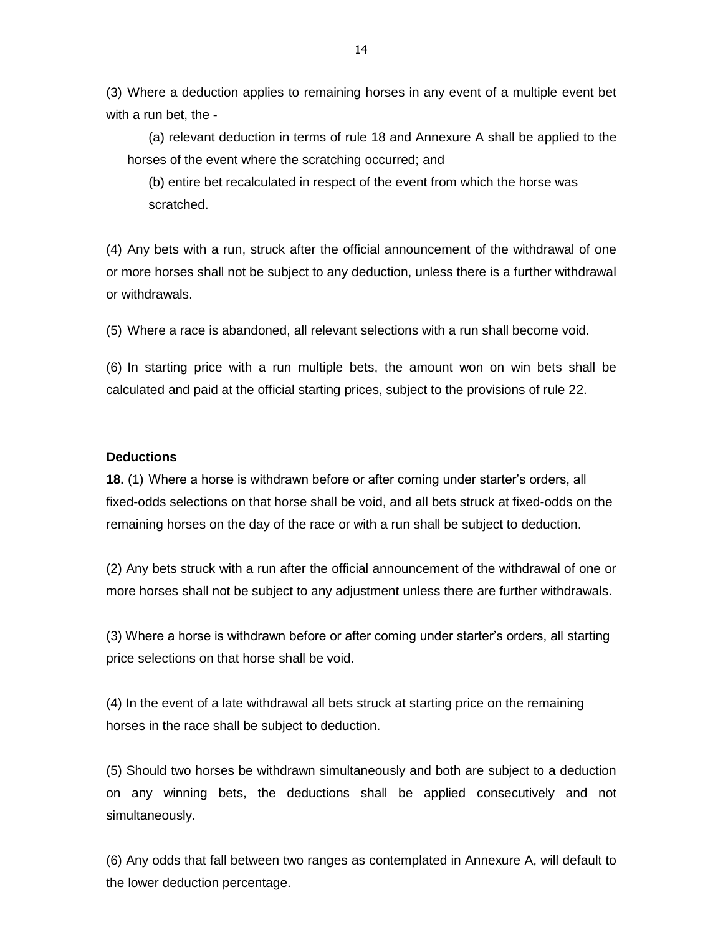(3) Where a deduction applies to remaining horses in any event of a multiple event bet with a run bet, the -

(a) relevant deduction in terms of rule 18 and Annexure A shall be applied to the horses of the event where the scratching occurred; and

(b) entire bet recalculated in respect of the event from which the horse was scratched.

(4) Any bets with a run, struck after the official announcement of the withdrawal of one or more horses shall not be subject to any deduction, unless there is a further withdrawal or withdrawals.

(5) Where a race is abandoned, all relevant selections with a run shall become void.

(6) In starting price with a run multiple bets, the amount won on win bets shall be calculated and paid at the official starting prices, subject to the provisions of rule 22.

#### **Deductions**

**18.** (1) Where a horse is withdrawn before or after coming under starter's orders, all fixed-odds selections on that horse shall be void, and all bets struck at fixed-odds on the remaining horses on the day of the race or with a run shall be subject to deduction.

(2) Any bets struck with a run after the official announcement of the withdrawal of one or more horses shall not be subject to any adjustment unless there are further withdrawals.

(3) Where a horse is withdrawn before or after coming under starter's orders, all starting price selections on that horse shall be void.

(4) In the event of a late withdrawal all bets struck at starting price on the remaining horses in the race shall be subject to deduction.

(5) Should two horses be withdrawn simultaneously and both are subject to a deduction on any winning bets, the deductions shall be applied consecutively and not simultaneously.

(6) Any odds that fall between two ranges as contemplated in Annexure A, will default to the lower deduction percentage.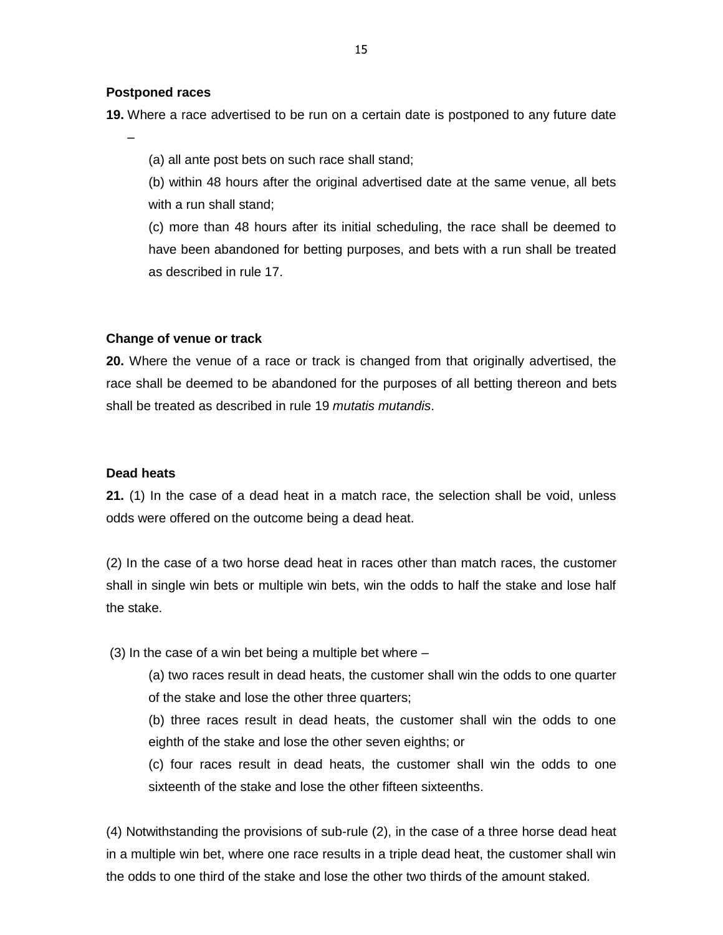#### **Postponed races**

**19.** Where a race advertised to be run on a certain date is postponed to any future date

–

(a) all ante post bets on such race shall stand;

(b) within 48 hours after the original advertised date at the same venue, all bets with a run shall stand;

(c) more than 48 hours after its initial scheduling, the race shall be deemed to have been abandoned for betting purposes, and bets with a run shall be treated as described in rule 17.

#### **Change of venue or track**

**20.** Where the venue of a race or track is changed from that originally advertised, the race shall be deemed to be abandoned for the purposes of all betting thereon and bets shall be treated as described in rule 19 *mutatis mutandis*.

#### **Dead heats**

**21.** (1) In the case of a dead heat in a match race, the selection shall be void, unless odds were offered on the outcome being a dead heat.

(2) In the case of a two horse dead heat in races other than match races, the customer shall in single win bets or multiple win bets, win the odds to half the stake and lose half the stake.

(3) In the case of a win bet being a multiple bet where –

(a) two races result in dead heats, the customer shall win the odds to one quarter of the stake and lose the other three quarters;

(b) three races result in dead heats, the customer shall win the odds to one eighth of the stake and lose the other seven eighths; or

(c) four races result in dead heats, the customer shall win the odds to one sixteenth of the stake and lose the other fifteen sixteenths.

(4) Notwithstanding the provisions of sub-rule (2), in the case of a three horse dead heat in a multiple win bet, where one race results in a triple dead heat, the customer shall win the odds to one third of the stake and lose the other two thirds of the amount staked.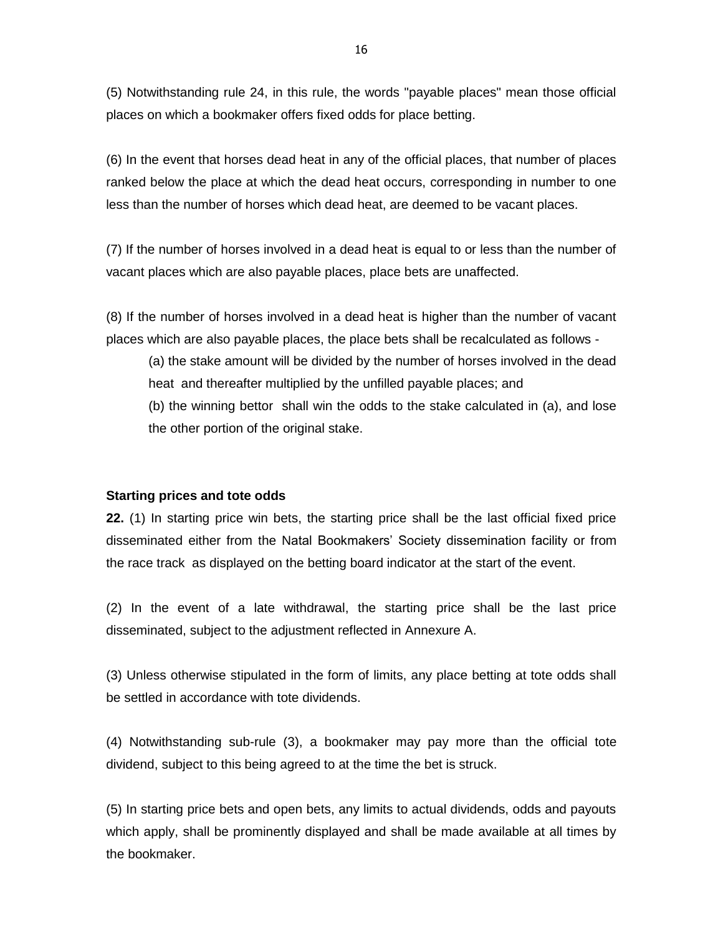(5) Notwithstanding rule 24, in this rule, the words "payable places" mean those official places on which a bookmaker offers fixed odds for place betting.

(6) In the event that horses dead heat in any of the official places, that number of places ranked below the place at which the dead heat occurs, corresponding in number to one less than the number of horses which dead heat, are deemed to be vacant places.

(7) If the number of horses involved in a dead heat is equal to or less than the number of vacant places which are also payable places, place bets are unaffected.

(8) If the number of horses involved in a dead heat is higher than the number of vacant places which are also payable places, the place bets shall be recalculated as follows -

(a) the stake amount will be divided by the number of horses involved in the dead heat and thereafter multiplied by the unfilled payable places; and

(b) the winning bettor shall win the odds to the stake calculated in (a), and lose the other portion of the original stake.

#### **Starting prices and tote odds**

**22.** (1) In starting price win bets, the starting price shall be the last official fixed price disseminated either from the Natal Bookmakers' Society dissemination facility or from the race track as displayed on the betting board indicator at the start of the event.

(2) In the event of a late withdrawal, the starting price shall be the last price disseminated, subject to the adjustment reflected in Annexure A.

(3) Unless otherwise stipulated in the form of limits, any place betting at tote odds shall be settled in accordance with tote dividends.

(4) Notwithstanding sub-rule (3), a bookmaker may pay more than the official tote dividend, subject to this being agreed to at the time the bet is struck.

(5) In starting price bets and open bets, any limits to actual dividends, odds and payouts which apply, shall be prominently displayed and shall be made available at all times by the bookmaker.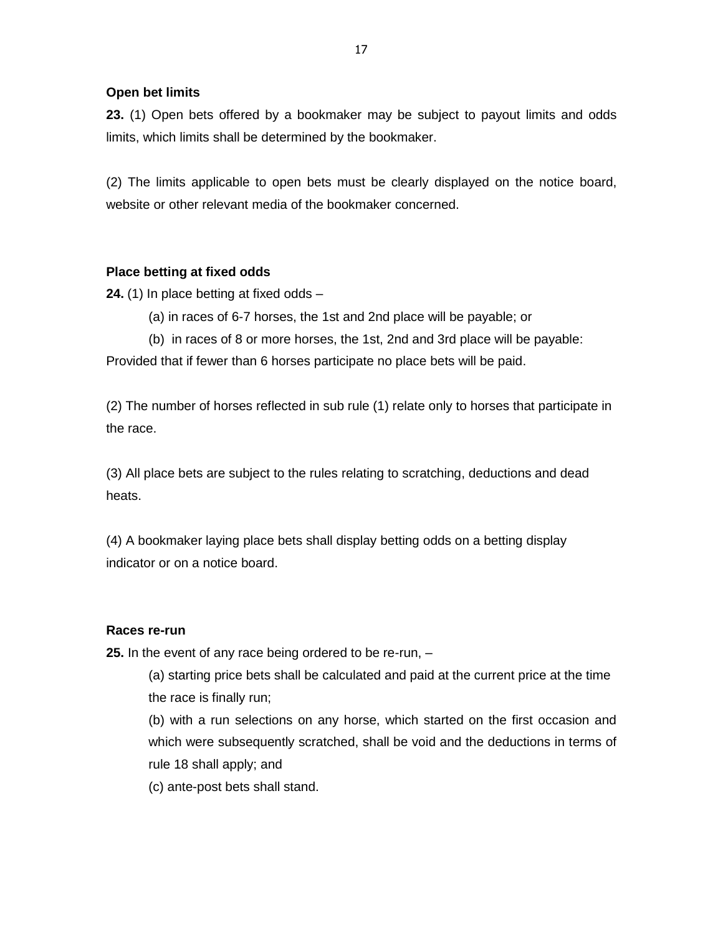## **Open bet limits**

**23.** (1) Open bets offered by a bookmaker may be subject to payout limits and odds limits, which limits shall be determined by the bookmaker.

(2) The limits applicable to open bets must be clearly displayed on the notice board, website or other relevant media of the bookmaker concerned.

## **Place betting at fixed odds**

**24.** (1) In place betting at fixed odds –

- (a) in races of 6-7 horses, the 1st and 2nd place will be payable; or
- (b) in races of 8 or more horses, the 1st, 2nd and 3rd place will be payable:

Provided that if fewer than 6 horses participate no place bets will be paid.

(2) The number of horses reflected in sub rule (1) relate only to horses that participate in the race.

(3) All place bets are subject to the rules relating to scratching, deductions and dead heats.

(4) A bookmaker laying place bets shall display betting odds on a betting display indicator or on a notice board.

## **Races re-run**

**25.** In the event of any race being ordered to be re-run, –

(a) starting price bets shall be calculated and paid at the current price at the time the race is finally run;

(b) with a run selections on any horse, which started on the first occasion and which were subsequently scratched, shall be void and the deductions in terms of rule 18 shall apply; and

(c) ante-post bets shall stand.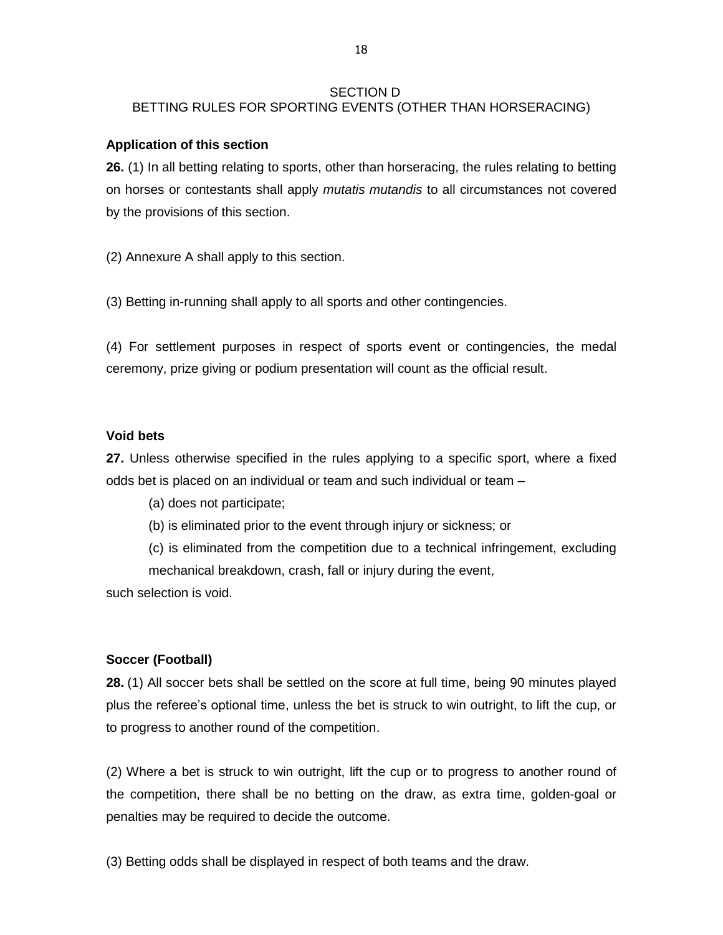#### SECTION D

## BETTING RULES FOR SPORTING EVENTS (OTHER THAN HORSERACING)

#### **Application of this section**

**26.** (1) In all betting relating to sports, other than horseracing, the rules relating to betting on horses or contestants shall apply *mutatis mutandis* to all circumstances not covered by the provisions of this section.

(2) Annexure A shall apply to this section.

(3) Betting in-running shall apply to all sports and other contingencies.

(4) For settlement purposes in respect of sports event or contingencies, the medal ceremony, prize giving or podium presentation will count as the official result.

## **Void bets**

**27.** Unless otherwise specified in the rules applying to a specific sport, where a fixed odds bet is placed on an individual or team and such individual or team –

(a) does not participate;

(b) is eliminated prior to the event through injury or sickness; or

(c) is eliminated from the competition due to a technical infringement, excluding mechanical breakdown, crash, fall or injury during the event,

such selection is void.

## **Soccer (Football)**

**28.** (1) All soccer bets shall be settled on the score at full time, being 90 minutes played plus the referee's optional time, unless the bet is struck to win outright, to lift the cup, or to progress to another round of the competition.

(2) Where a bet is struck to win outright, lift the cup or to progress to another round of the competition, there shall be no betting on the draw, as extra time, golden-goal or penalties may be required to decide the outcome.

(3) Betting odds shall be displayed in respect of both teams and the draw.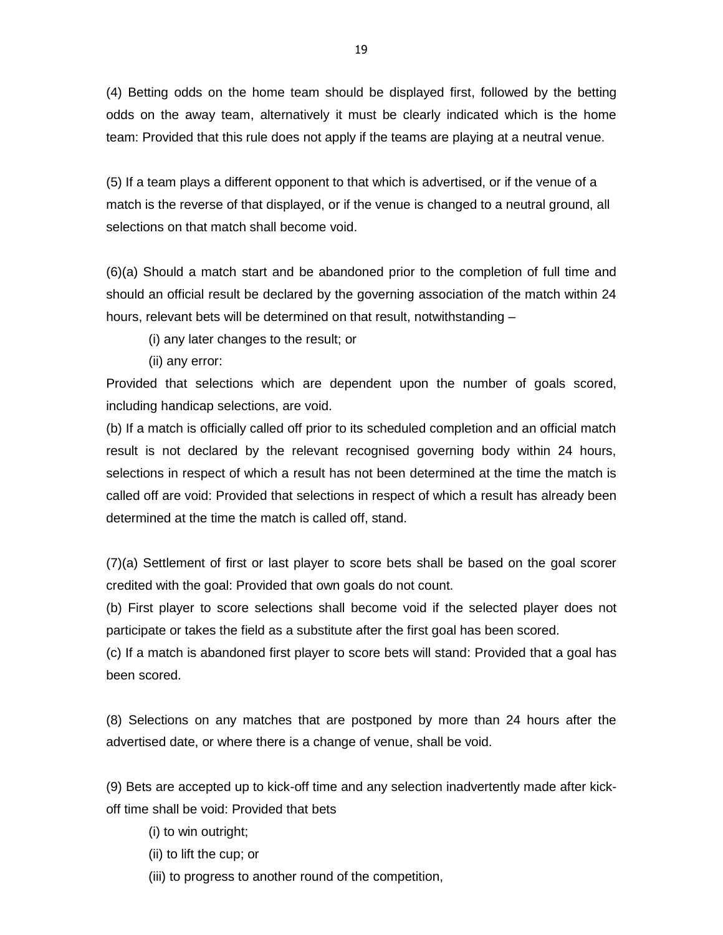(4) Betting odds on the home team should be displayed first, followed by the betting odds on the away team, alternatively it must be clearly indicated which is the home team: Provided that this rule does not apply if the teams are playing at a neutral venue.

(5) If a team plays a different opponent to that which is advertised, or if the venue of a match is the reverse of that displayed, or if the venue is changed to a neutral ground, all selections on that match shall become void.

(6)(a) Should a match start and be abandoned prior to the completion of full time and should an official result be declared by the governing association of the match within 24 hours, relevant bets will be determined on that result, notwithstanding –

(i) any later changes to the result; or

(ii) any error:

Provided that selections which are dependent upon the number of goals scored, including handicap selections, are void.

(b) If a match is officially called off prior to its scheduled completion and an official match result is not declared by the relevant recognised governing body within 24 hours, selections in respect of which a result has not been determined at the time the match is called off are void: Provided that selections in respect of which a result has already been determined at the time the match is called off, stand.

(7)(a) Settlement of first or last player to score bets shall be based on the goal scorer credited with the goal: Provided that own goals do not count.

(b) First player to score selections shall become void if the selected player does not participate or takes the field as a substitute after the first goal has been scored.

(c) If a match is abandoned first player to score bets will stand: Provided that a goal has been scored.

(8) Selections on any matches that are postponed by more than 24 hours after the advertised date, or where there is a change of venue, shall be void.

(9) Bets are accepted up to kick-off time and any selection inadvertently made after kickoff time shall be void: Provided that bets

- (i) to win outright;
- (ii) to lift the cup; or
- (iii) to progress to another round of the competition,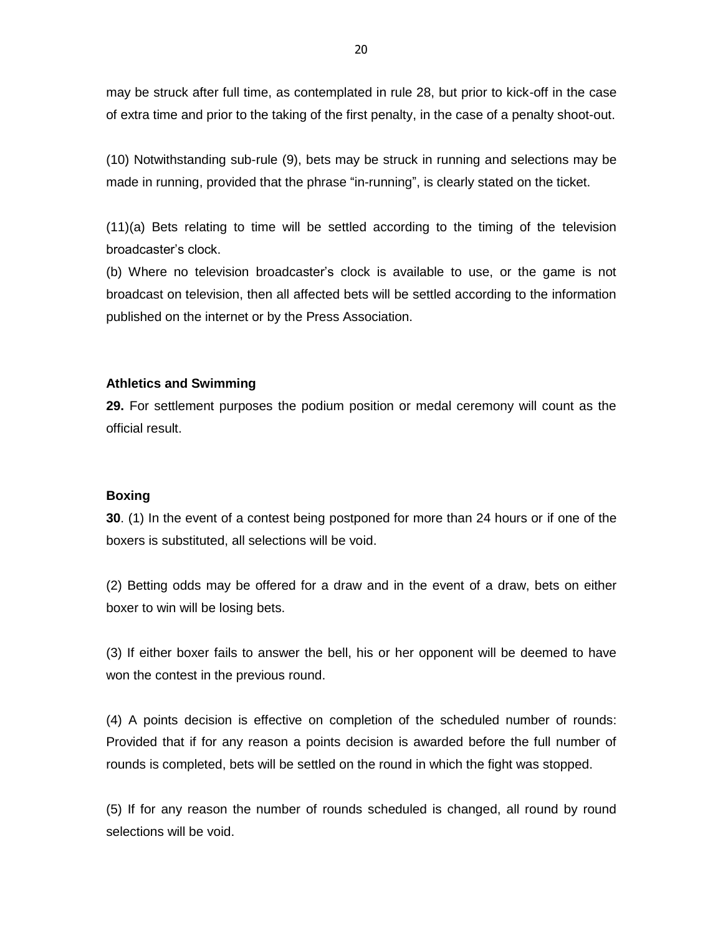may be struck after full time, as contemplated in rule 28, but prior to kick-off in the case of extra time and prior to the taking of the first penalty, in the case of a penalty shoot-out.

(10) Notwithstanding sub-rule (9), bets may be struck in running and selections may be made in running, provided that the phrase "in-running", is clearly stated on the ticket.

(11)(a) Bets relating to time will be settled according to the timing of the television broadcaster's clock.

(b) Where no television broadcaster's clock is available to use, or the game is not broadcast on television, then all affected bets will be settled according to the information published on the internet or by the Press Association.

### **Athletics and Swimming**

**29.** For settlement purposes the podium position or medal ceremony will count as the official result.

#### **Boxing**

**30**. (1) In the event of a contest being postponed for more than 24 hours or if one of the boxers is substituted, all selections will be void.

(2) Betting odds may be offered for a draw and in the event of a draw, bets on either boxer to win will be losing bets.

(3) If either boxer fails to answer the bell, his or her opponent will be deemed to have won the contest in the previous round.

(4) A points decision is effective on completion of the scheduled number of rounds: Provided that if for any reason a points decision is awarded before the full number of rounds is completed, bets will be settled on the round in which the fight was stopped.

(5) If for any reason the number of rounds scheduled is changed, all round by round selections will be void.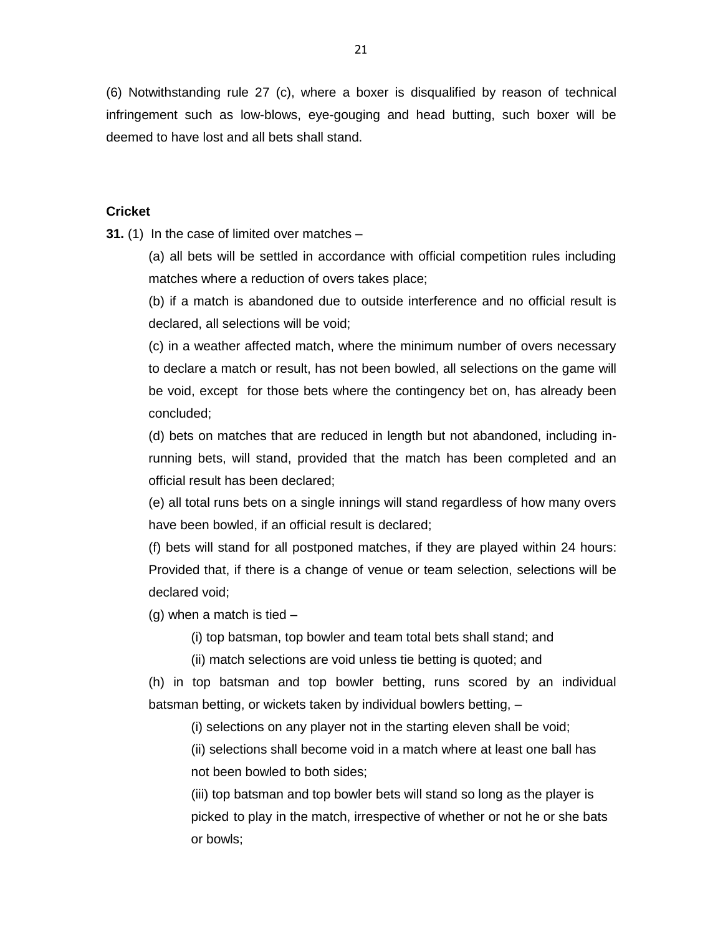(6) Notwithstanding rule 27 (c), where a boxer is disqualified by reason of technical infringement such as low-blows, eye-gouging and head butting, such boxer will be deemed to have lost and all bets shall stand.

#### **Cricket**

**31.** (1) In the case of limited over matches –

(a) all bets will be settled in accordance with official competition rules including matches where a reduction of overs takes place;

(b) if a match is abandoned due to outside interference and no official result is declared, all selections will be void;

(c) in a weather affected match, where the minimum number of overs necessary to declare a match or result, has not been bowled, all selections on the game will be void, except for those bets where the contingency bet on, has already been concluded;

(d) bets on matches that are reduced in length but not abandoned, including inrunning bets, will stand, provided that the match has been completed and an official result has been declared;

(e) all total runs bets on a single innings will stand regardless of how many overs have been bowled, if an official result is declared;

(f) bets will stand for all postponed matches, if they are played within 24 hours: Provided that, if there is a change of venue or team selection, selections will be declared void;

 $(g)$  when a match is tied  $-$ 

(i) top batsman, top bowler and team total bets shall stand; and

(ii) match selections are void unless tie betting is quoted; and

(h) in top batsman and top bowler betting, runs scored by an individual batsman betting, or wickets taken by individual bowlers betting, –

(i) selections on any player not in the starting eleven shall be void;

(ii) selections shall become void in a match where at least one ball has not been bowled to both sides;

(iii) top batsman and top bowler bets will stand so long as the player is picked to play in the match, irrespective of whether or not he or she bats or bowls;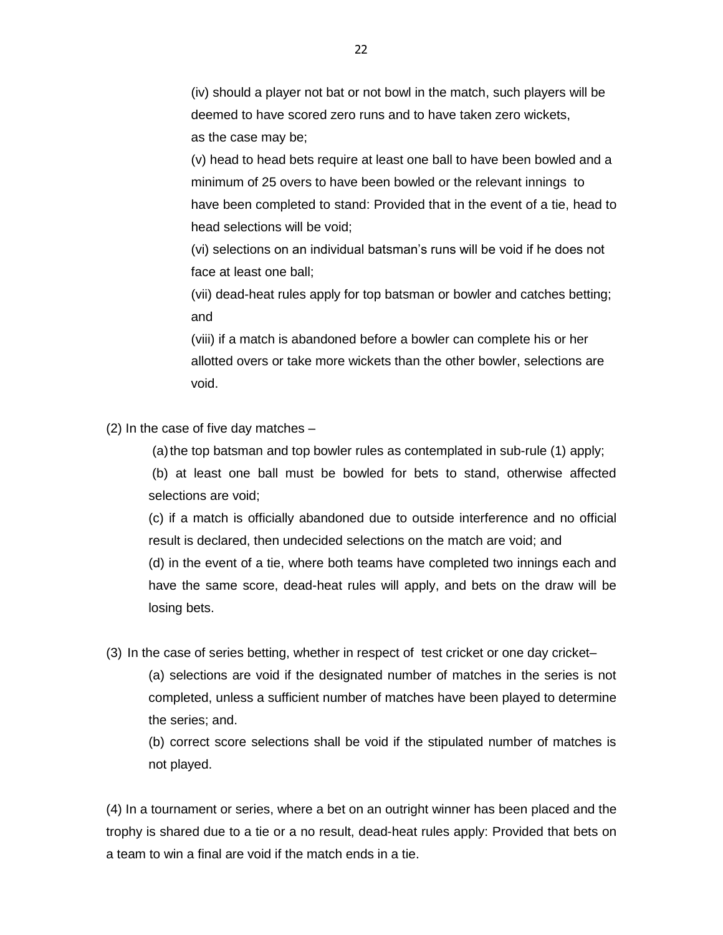(iv) should a player not bat or not bowl in the match, such players will be deemed to have scored zero runs and to have taken zero wickets, as the case may be;

(v) head to head bets require at least one ball to have been bowled and a minimum of 25 overs to have been bowled or the relevant innings to have been completed to stand: Provided that in the event of a tie, head to head selections will be void;

(vi) selections on an individual batsman's runs will be void if he does not face at least one ball;

(vii) dead-heat rules apply for top batsman or bowler and catches betting; and

(viii) if a match is abandoned before a bowler can complete his or her allotted overs or take more wickets than the other bowler, selections are void.

(2) In the case of five day matches –

(a) the top batsman and top bowler rules as contemplated in sub-rule  $(1)$  apply;

(b) at least one ball must be bowled for bets to stand, otherwise affected selections are void;

(c) if a match is officially abandoned due to outside interference and no official result is declared, then undecided selections on the match are void; and (d) in the event of a tie, where both teams have completed two innings each and have the same score, dead-heat rules will apply, and bets on the draw will be losing bets.

(3) In the case of series betting, whether in respect of test cricket or one day cricket–

(a) selections are void if the designated number of matches in the series is not completed, unless a sufficient number of matches have been played to determine the series; and.

(b) correct score selections shall be void if the stipulated number of matches is not played.

(4) In a tournament or series, where a bet on an outright winner has been placed and the trophy is shared due to a tie or a no result, dead-heat rules apply: Provided that bets on a team to win a final are void if the match ends in a tie.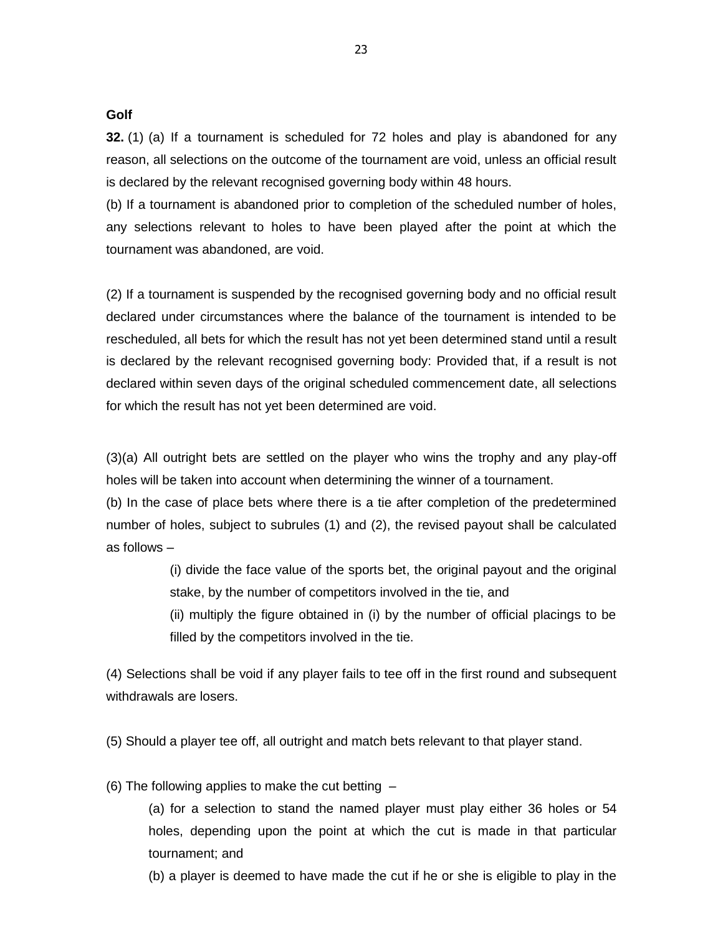#### **Golf**

**32.** (1) (a) If a tournament is scheduled for 72 holes and play is abandoned for any reason, all selections on the outcome of the tournament are void, unless an official result is declared by the relevant recognised governing body within 48 hours.

(b) If a tournament is abandoned prior to completion of the scheduled number of holes, any selections relevant to holes to have been played after the point at which the tournament was abandoned, are void.

(2) If a tournament is suspended by the recognised governing body and no official result declared under circumstances where the balance of the tournament is intended to be rescheduled, all bets for which the result has not yet been determined stand until a result is declared by the relevant recognised governing body: Provided that, if a result is not declared within seven days of the original scheduled commencement date, all selections for which the result has not yet been determined are void.

(3)(a) All outright bets are settled on the player who wins the trophy and any play-off holes will be taken into account when determining the winner of a tournament.

(b) In the case of place bets where there is a tie after completion of the predetermined number of holes, subject to subrules (1) and (2), the revised payout shall be calculated as follows –

> (i) divide the face value of the sports bet, the original payout and the original stake, by the number of competitors involved in the tie, and

> (ii) multiply the figure obtained in (i) by the number of official placings to be filled by the competitors involved in the tie.

(4) Selections shall be void if any player fails to tee off in the first round and subsequent withdrawals are losers.

(5) Should a player tee off, all outright and match bets relevant to that player stand.

(6) The following applies to make the cut betting –

(a) for a selection to stand the named player must play either 36 holes or 54 holes, depending upon the point at which the cut is made in that particular tournament; and

(b) a player is deemed to have made the cut if he or she is eligible to play in the

23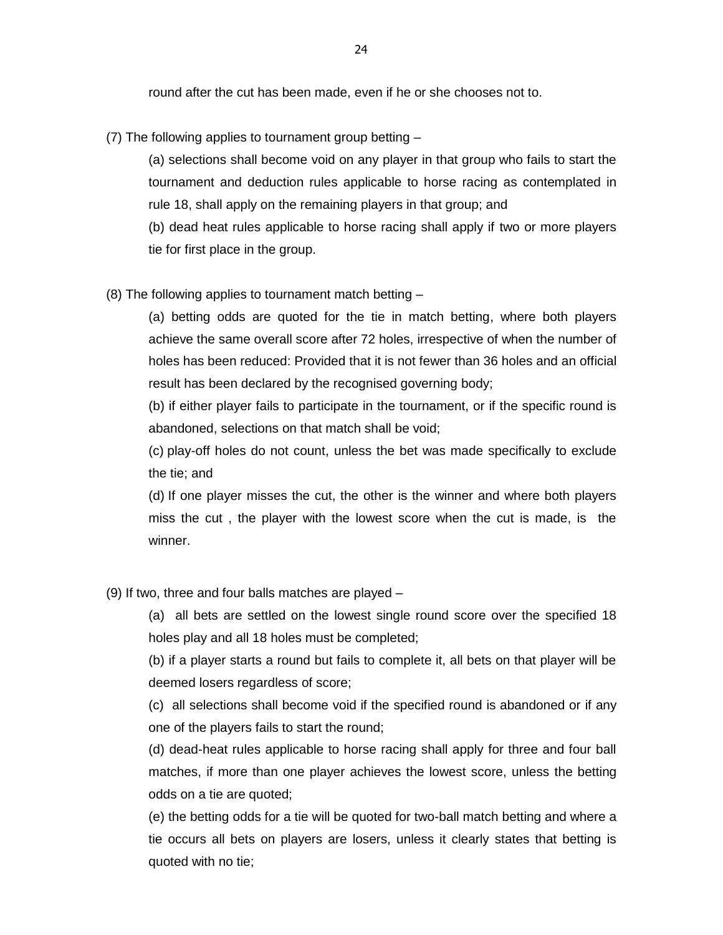round after the cut has been made, even if he or she chooses not to.

(7) The following applies to tournament group betting –

(a) selections shall become void on any player in that group who fails to start the tournament and deduction rules applicable to horse racing as contemplated in rule 18, shall apply on the remaining players in that group; and (b) dead heat rules applicable to horse racing shall apply if two or more players tie for first place in the group.

(8) The following applies to tournament match betting –

(a) betting odds are quoted for the tie in match betting, where both players achieve the same overall score after 72 holes, irrespective of when the number of holes has been reduced: Provided that it is not fewer than 36 holes and an official result has been declared by the recognised governing body;

(b) if either player fails to participate in the tournament, or if the specific round is abandoned, selections on that match shall be void;

(c) play-off holes do not count, unless the bet was made specifically to exclude the tie; and

(d) If one player misses the cut, the other is the winner and where both players miss the cut , the player with the lowest score when the cut is made, is the winner.

(9) If two, three and four balls matches are played –

(a) all bets are settled on the lowest single round score over the specified 18 holes play and all 18 holes must be completed;

(b) if a player starts a round but fails to complete it, all bets on that player will be deemed losers regardless of score;

(c) all selections shall become void if the specified round is abandoned or if any one of the players fails to start the round;

(d) dead-heat rules applicable to horse racing shall apply for three and four ball matches, if more than one player achieves the lowest score, unless the betting odds on a tie are quoted;

(e) the betting odds for a tie will be quoted for two-ball match betting and where a tie occurs all bets on players are losers, unless it clearly states that betting is quoted with no tie;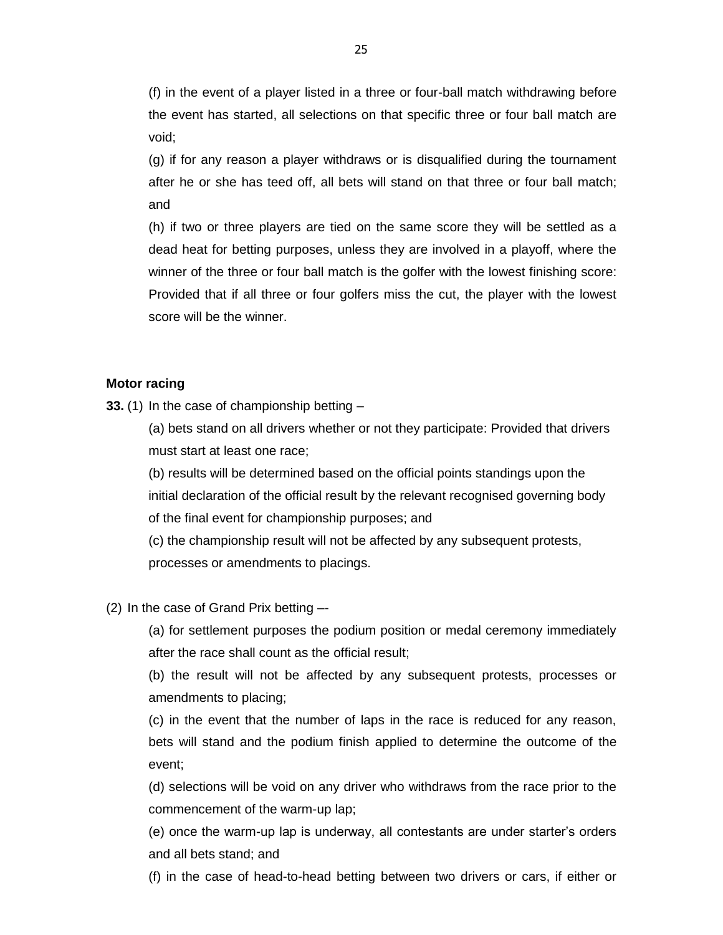(f) in the event of a player listed in a three or four-ball match withdrawing before the event has started, all selections on that specific three or four ball match are void;

(g) if for any reason a player withdraws or is disqualified during the tournament after he or she has teed off, all bets will stand on that three or four ball match; and

(h) if two or three players are tied on the same score they will be settled as a dead heat for betting purposes, unless they are involved in a playoff, where the winner of the three or four ball match is the golfer with the lowest finishing score: Provided that if all three or four golfers miss the cut, the player with the lowest score will be the winner.

#### **Motor racing**

**33.** (1) In the case of championship betting –

(a) bets stand on all drivers whether or not they participate: Provided that drivers must start at least one race;

(b) results will be determined based on the official points standings upon the initial declaration of the official result by the relevant recognised governing body of the final event for championship purposes; and

(c) the championship result will not be affected by any subsequent protests, processes or amendments to placings.

(2) In the case of Grand Prix betting –-

(a) for settlement purposes the podium position or medal ceremony immediately after the race shall count as the official result;

(b) the result will not be affected by any subsequent protests, processes or amendments to placing;

(c) in the event that the number of laps in the race is reduced for any reason, bets will stand and the podium finish applied to determine the outcome of the event;

(d) selections will be void on any driver who withdraws from the race prior to the commencement of the warm-up lap;

(e) once the warm-up lap is underway, all contestants are under starter's orders and all bets stand; and

(f) in the case of head-to-head betting between two drivers or cars, if either or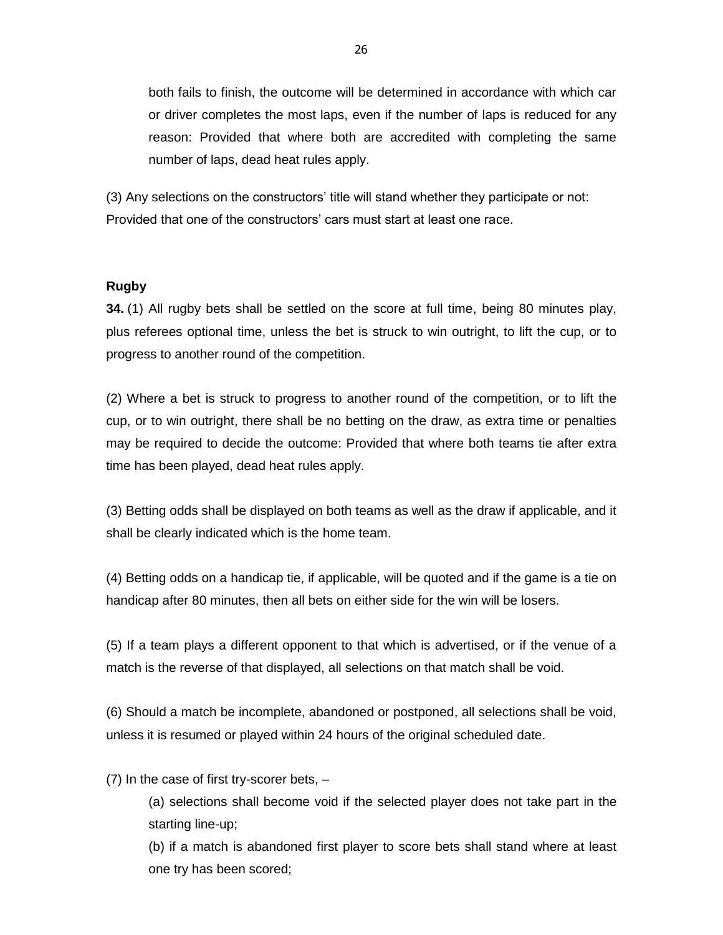both fails to finish, the outcome will be determined in accordance with which car or driver completes the most laps, even if the number of laps is reduced for any reason: Provided that where both are accredited with completing the same number of laps, dead heat rules apply.

(3) Any selections on the constructors' title will stand whether they participate or not: Provided that one of the constructors' cars must start at least one race.

## **Rugby**

**34.** (1) All rugby bets shall be settled on the score at full time, being 80 minutes play, plus referees optional time, unless the bet is struck to win outright, to lift the cup, or to progress to another round of the competition.

(2) Where a bet is struck to progress to another round of the competition, or to lift the cup, or to win outright, there shall be no betting on the draw, as extra time or penalties may be required to decide the outcome: Provided that where both teams tie after extra time has been played, dead heat rules apply.

(3) Betting odds shall be displayed on both teams as well as the draw if applicable, and it shall be clearly indicated which is the home team.

(4) Betting odds on a handicap tie, if applicable, will be quoted and if the game is a tie on handicap after 80 minutes, then all bets on either side for the win will be losers.

(5) If a team plays a different opponent to that which is advertised, or if the venue of a match is the reverse of that displayed, all selections on that match shall be void.

(6) Should a match be incomplete, abandoned or postponed, all selections shall be void, unless it is resumed or played within 24 hours of the original scheduled date.

(7) In the case of first try-scorer bets, –

(a) selections shall become void if the selected player does not take part in the starting line-up;

(b) if a match is abandoned first player to score bets shall stand where at least one try has been scored;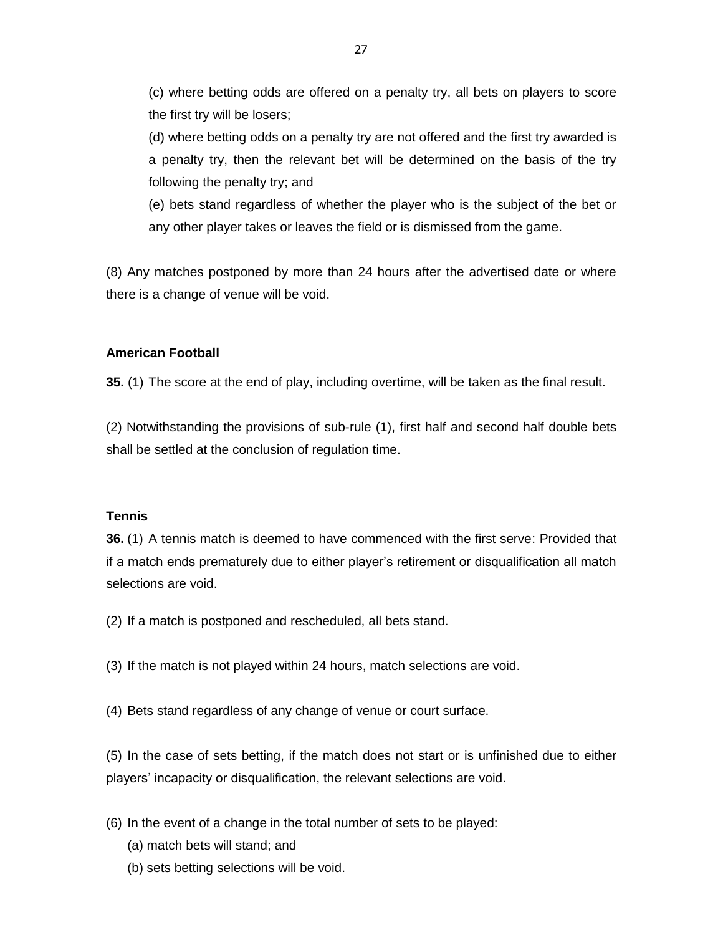(c) where betting odds are offered on a penalty try, all bets on players to score the first try will be losers;

(d) where betting odds on a penalty try are not offered and the first try awarded is a penalty try, then the relevant bet will be determined on the basis of the try following the penalty try; and

(e) bets stand regardless of whether the player who is the subject of the bet or any other player takes or leaves the field or is dismissed from the game.

(8) Any matches postponed by more than 24 hours after the advertised date or where there is a change of venue will be void.

## **American Football**

**35.** (1) The score at the end of play, including overtime, will be taken as the final result.

(2) Notwithstanding the provisions of sub-rule (1), first half and second half double bets shall be settled at the conclusion of regulation time.

## **Tennis**

**36.** (1) A tennis match is deemed to have commenced with the first serve: Provided that if a match ends prematurely due to either player's retirement or disqualification all match selections are void.

- (2) If a match is postponed and rescheduled, all bets stand.
- (3) If the match is not played within 24 hours, match selections are void.
- (4) Bets stand regardless of any change of venue or court surface.

(5) In the case of sets betting, if the match does not start or is unfinished due to either players' incapacity or disqualification, the relevant selections are void.

- (6) In the event of a change in the total number of sets to be played:
	- (a) match bets will stand; and
	- (b) sets betting selections will be void.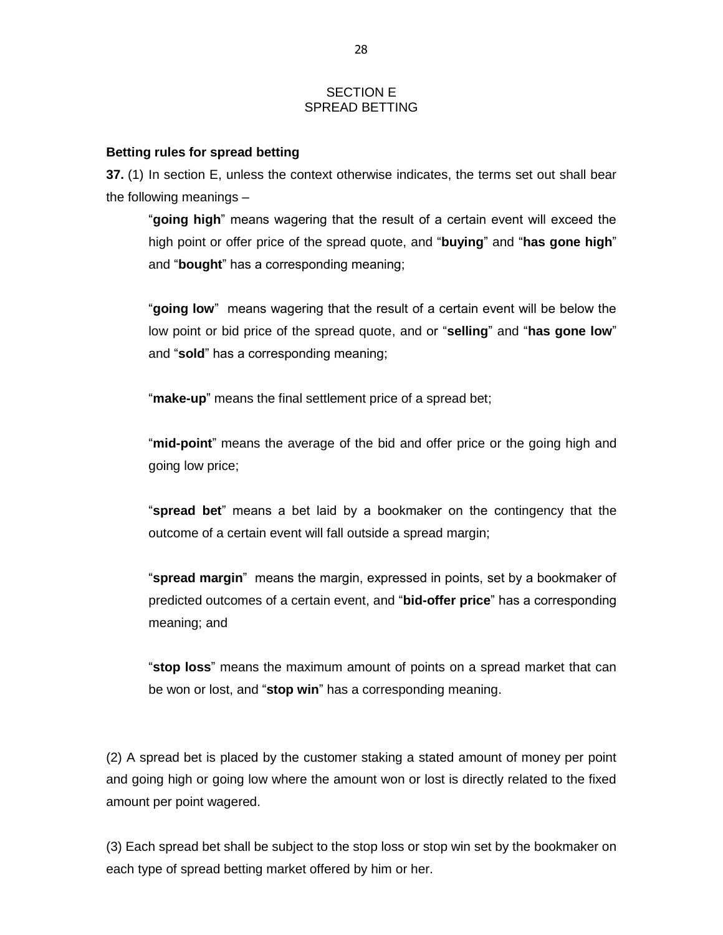#### SECTION E SPREAD BETTING

#### **Betting rules for spread betting**

**37.** (1) In section E, unless the context otherwise indicates, the terms set out shall bear the following meanings –

"**going high**" means wagering that the result of a certain event will exceed the high point or offer price of the spread quote, and "**buying**" and "**has gone high**" and "**bought**" has a corresponding meaning;

"**going low**" means wagering that the result of a certain event will be below the low point or bid price of the spread quote, and or "**selling**" and "**has gone low**" and "**sold**" has a corresponding meaning;

"**make-up**" means the final settlement price of a spread bet;

"**mid-point**" means the average of the bid and offer price or the going high and going low price;

"**spread bet**" means a bet laid by a bookmaker on the contingency that the outcome of a certain event will fall outside a spread margin;

"**spread margin**" means the margin, expressed in points, set by a bookmaker of predicted outcomes of a certain event, and "**bid-offer price**" has a corresponding meaning; and

"**stop loss**" means the maximum amount of points on a spread market that can be won or lost, and "**stop win**" has a corresponding meaning.

(2) A spread bet is placed by the customer staking a stated amount of money per point and going high or going low where the amount won or lost is directly related to the fixed amount per point wagered.

(3) Each spread bet shall be subject to the stop loss or stop win set by the bookmaker on each type of spread betting market offered by him or her.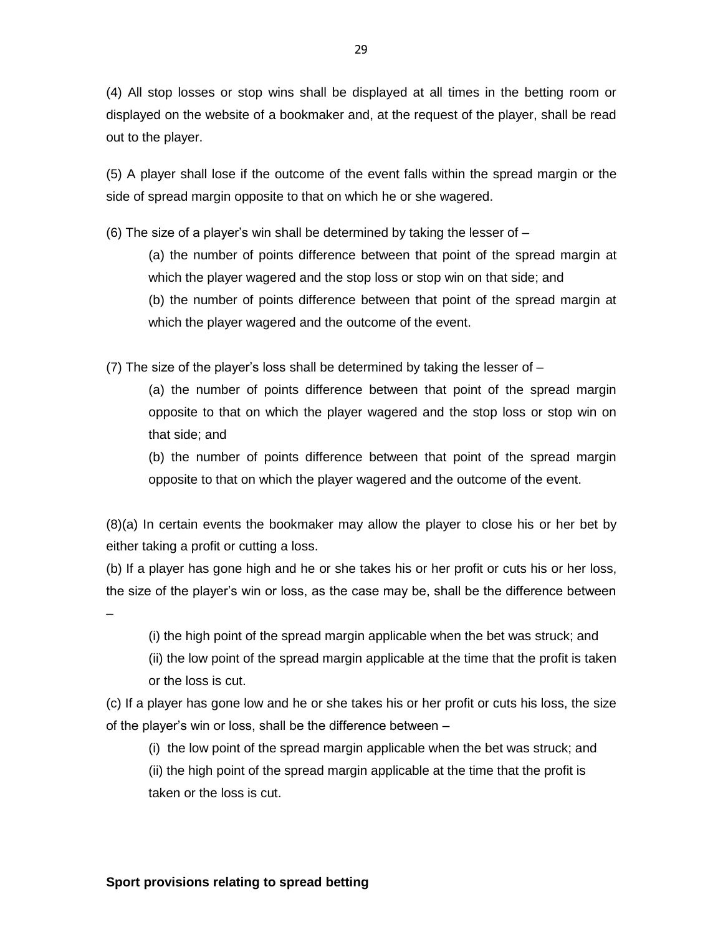(4) All stop losses or stop wins shall be displayed at all times in the betting room or displayed on the website of a bookmaker and, at the request of the player, shall be read out to the player.

(5) A player shall lose if the outcome of the event falls within the spread margin or the side of spread margin opposite to that on which he or she wagered.

(6) The size of a player's win shall be determined by taking the lesser of –

(a) the number of points difference between that point of the spread margin at which the player wagered and the stop loss or stop win on that side; and (b) the number of points difference between that point of the spread margin at which the player wagered and the outcome of the event.

(7) The size of the player's loss shall be determined by taking the lesser of –

(a) the number of points difference between that point of the spread margin opposite to that on which the player wagered and the stop loss or stop win on that side; and

(b) the number of points difference between that point of the spread margin opposite to that on which the player wagered and the outcome of the event.

(8)(a) In certain events the bookmaker may allow the player to close his or her bet by either taking a profit or cutting a loss.

(b) If a player has gone high and he or she takes his or her profit or cuts his or her loss, the size of the player's win or loss, as the case may be, shall be the difference between

(i) the high point of the spread margin applicable when the bet was struck; and

(ii) the low point of the spread margin applicable at the time that the profit is taken or the loss is cut.

(c) If a player has gone low and he or she takes his or her profit or cuts his loss, the size of the player's win or loss, shall be the difference between –

(i) the low point of the spread margin applicable when the bet was struck; and

(ii) the high point of the spread margin applicable at the time that the profit is taken or the loss is cut.

–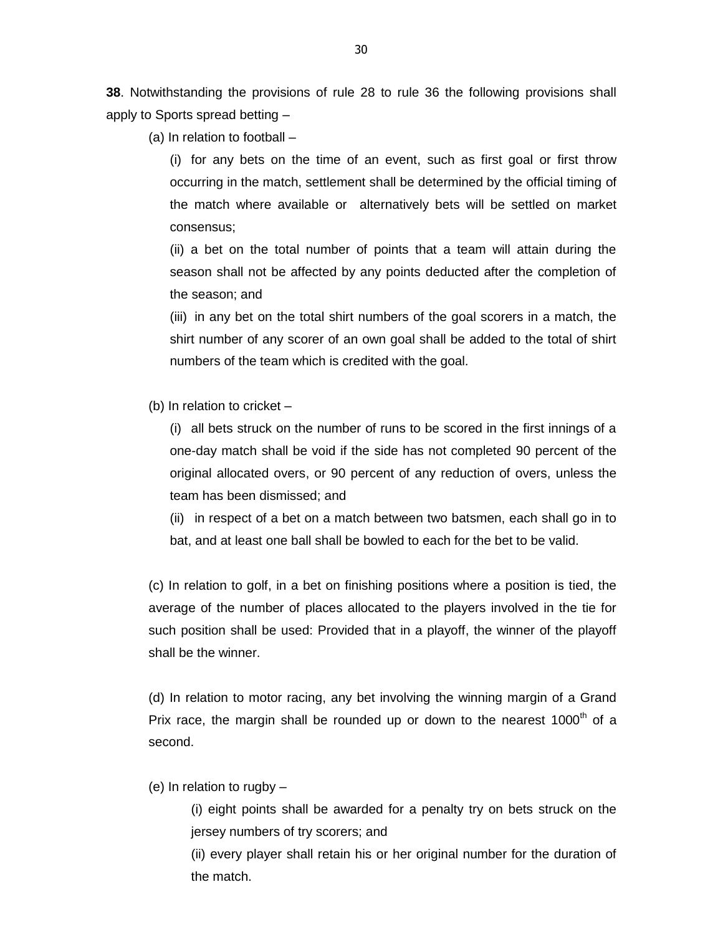**38**. Notwithstanding the provisions of rule 28 to rule 36 the following provisions shall apply to Sports spread betting –

(a) In relation to football –

(i) for any bets on the time of an event, such as first goal or first throw occurring in the match, settlement shall be determined by the official timing of the match where available or alternatively bets will be settled on market consensus;

(ii) a bet on the total number of points that a team will attain during the season shall not be affected by any points deducted after the completion of the season; and

(iii) in any bet on the total shirt numbers of the goal scorers in a match, the shirt number of any scorer of an own goal shall be added to the total of shirt numbers of the team which is credited with the goal.

(b) In relation to cricket –

(i) all bets struck on the number of runs to be scored in the first innings of a one-day match shall be void if the side has not completed 90 percent of the original allocated overs, or 90 percent of any reduction of overs, unless the team has been dismissed; and

(ii) in respect of a bet on a match between two batsmen, each shall go in to bat, and at least one ball shall be bowled to each for the bet to be valid.

(c) In relation to golf, in a bet on finishing positions where a position is tied, the average of the number of places allocated to the players involved in the tie for such position shall be used: Provided that in a playoff, the winner of the playoff shall be the winner.

(d) In relation to motor racing, any bet involving the winning margin of a Grand Prix race, the margin shall be rounded up or down to the nearest 1000<sup>th</sup> of a second.

(e) In relation to rugby –

(i) eight points shall be awarded for a penalty try on bets struck on the jersey numbers of try scorers; and

(ii) every player shall retain his or her original number for the duration of the match.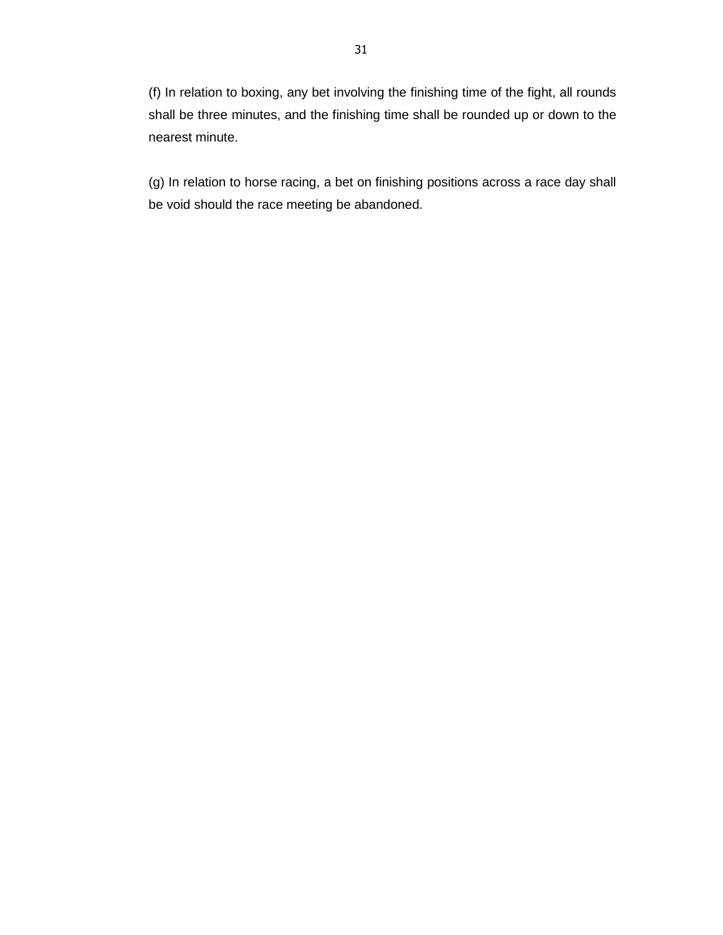(f) In relation to boxing, any bet involving the finishing time of the fight, all rounds shall be three minutes, and the finishing time shall be rounded up or down to the nearest minute.

(g) In relation to horse racing, a bet on finishing positions across a race day shall be void should the race meeting be abandoned.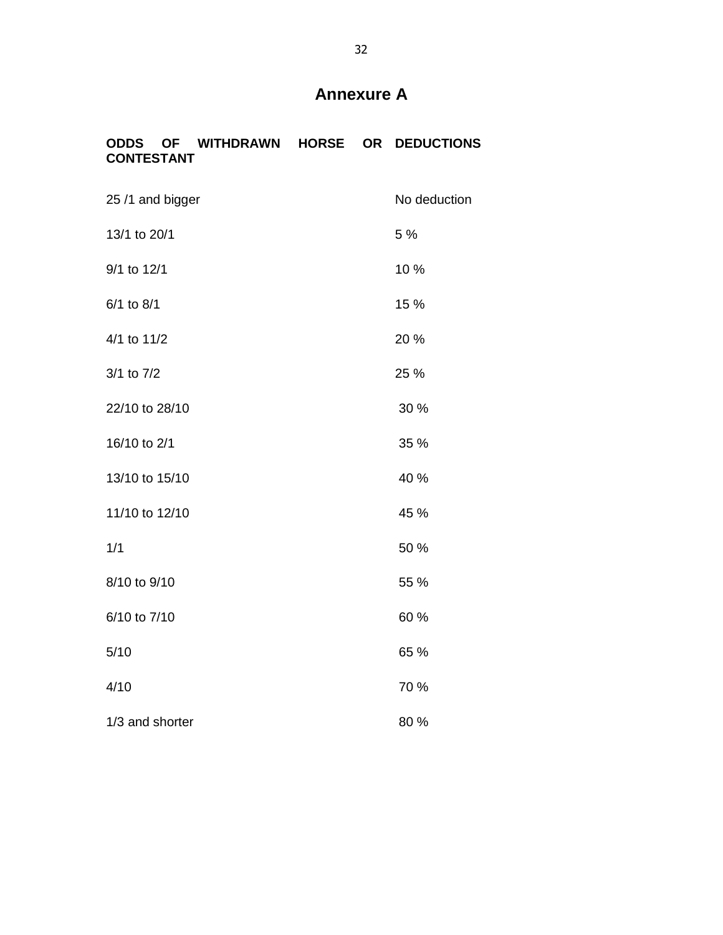# **Annexure A**

|                   | <b>ODDS OF WITHDRAWN HORSE OR DEDUCTIONS</b> |  |  |
|-------------------|----------------------------------------------|--|--|
| <b>CONTESTANT</b> |                                              |  |  |

| 25 /1 and bigger | No deduction |  |  |
|------------------|--------------|--|--|
| 13/1 to 20/1     | 5 %          |  |  |
| 9/1 to 12/1      | 10 %         |  |  |
| 6/1 to 8/1       | 15 %         |  |  |
| 4/1 to 11/2      | 20 %         |  |  |
| 3/1 to 7/2       | 25 %         |  |  |
| 22/10 to 28/10   | 30 %         |  |  |
| 16/10 to 2/1     | 35 %         |  |  |
| 13/10 to 15/10   | 40 %         |  |  |
| 11/10 to 12/10   | 45 %         |  |  |
| 1/1              | 50 %         |  |  |
| 8/10 to 9/10     | 55 %         |  |  |
| 6/10 to 7/10     | 60%          |  |  |
| 5/10             | 65 %         |  |  |
| 4/10             | 70 %         |  |  |
| 1/3 and shorter  | 80%          |  |  |